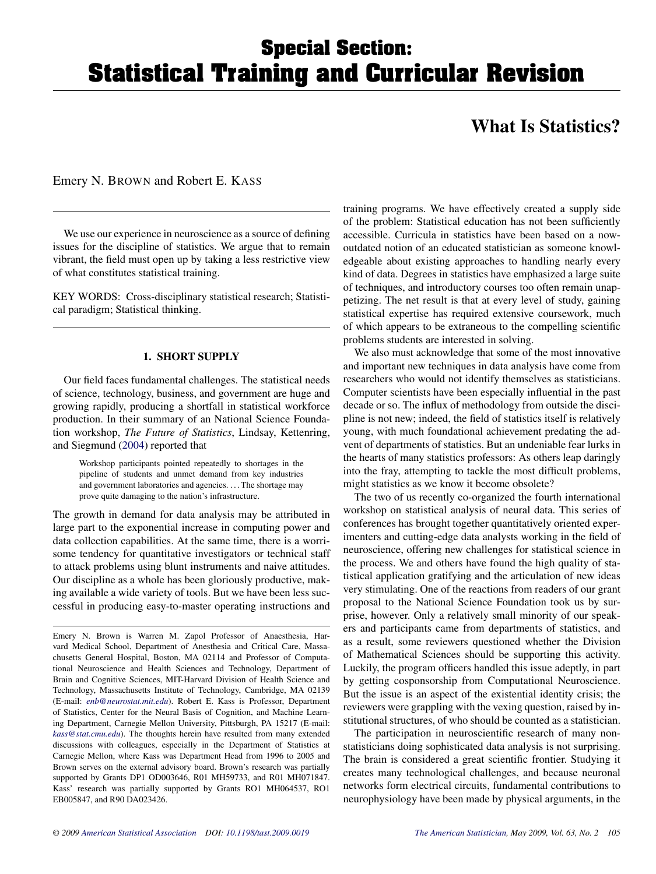# **Special Section: Statistical Training and Curricular Revision**

## **What Is Statistics?**

Emery N. BROWN and Robert E. KASS

We use our experience in neuroscience as a source of defining issues for the discipline of statistics. We argue that to remain vibrant, the field must open up by taking a less restrictive view of what constitutes statistical training.

KEY WORDS: Cross-disciplinary statistical research; Statistical paradigm; Statistical thinking.

#### **1. SHORT SUPPLY**

Our field faces fundamental challenges. The statistical needs of science, technology, business, and government are huge and growing rapidly, producing a shortfall in statistical workforce production. In their summary of an National Science Foundation workshop, *The Future of Statistics*, Lindsay, Kettenring, and Siegmund [\(2004\)](#page-5-0) reported that

Workshop participants pointed repeatedly to shortages in the pipeline of students and unmet demand from key industries and government laboratories and agencies. . . . The shortage may prove quite damaging to the nation's infrastructure.

The growth in demand for data analysis may be attributed in large part to the exponential increase in computing power and data collection capabilities. At the same time, there is a worrisome tendency for quantitative investigators or technical staff to attack problems using blunt instruments and naive attitudes. Our discipline as a whole has been gloriously productive, making available a wide variety of tools. But we have been less successful in producing easy-to-master operating instructions and

training programs. We have effectively created a supply side of the problem: Statistical education has not been sufficiently accessible. Curricula in statistics have been based on a nowoutdated notion of an educated statistician as someone knowledgeable about existing approaches to handling nearly every kind of data. Degrees in statistics have emphasized a large suite of techniques, and introductory courses too often remain unappetizing. The net result is that at every level of study, gaining statistical expertise has required extensive coursework, much of which appears to be extraneous to the compelling scientific problems students are interested in solving.

We also must acknowledge that some of the most innovative and important new techniques in data analysis have come from researchers who would not identify themselves as statisticians. Computer scientists have been especially influential in the past decade or so. The influx of methodology from outside the discipline is not new; indeed, the field of statistics itself is relatively young, with much foundational achievement predating the advent of departments of statistics. But an undeniable fear lurks in the hearts of many statistics professors: As others leap daringly into the fray, attempting to tackle the most difficult problems, might statistics as we know it become obsolete?

The two of us recently co-organized the fourth international workshop on statistical analysis of neural data. This series of conferences has brought together quantitatively oriented experimenters and cutting-edge data analysts working in the field of neuroscience, offering new challenges for statistical science in the process. We and others have found the high quality of statistical application gratifying and the articulation of new ideas very stimulating. One of the reactions from readers of our grant proposal to the National Science Foundation took us by surprise, however. Only a relatively small minority of our speakers and participants came from departments of statistics, and as a result, some reviewers questioned whether the Division of Mathematical Sciences should be supporting this activity. Luckily, the program officers handled this issue adeptly, in part by getting cosponsorship from Computational Neuroscience. But the issue is an aspect of the existential identity crisis; the reviewers were grappling with the vexing question, raised by institutional structures, of who should be counted as a statistician.

The participation in neuroscientific research of many nonstatisticians doing sophisticated data analysis is not surprising. The brain is considered a great scientific frontier. Studying it creates many technological challenges, and because neuronal networks form electrical circuits, fundamental contributions to neurophysiology have been made by physical arguments, in the

Emery N. Brown is Warren M. Zapol Professor of Anaesthesia, Harvard Medical School, Department of Anesthesia and Critical Care, Massachusetts General Hospital, Boston, MA 02114 and Professor of Computational Neuroscience and Health Sciences and Technology, Department of Brain and Cognitive Sciences, MIT-Harvard Division of Health Science and Technology, Massachusetts Institute of Technology, Cambridge, MA 02139 (E-mail: *[enb@neurostat.mit.edu](mailto:enb@neurostat.mit.edu)*). Robert E. Kass is Professor, Department of Statistics, Center for the Neural Basis of Cognition, and Machine Learning Department, Carnegie Mellon University, Pittsburgh, PA 15217 (E-mail: *[kass@stat.cmu.edu](mailto:kass@stat.cmu.edu)*). The thoughts herein have resulted from many extended discussions with colleagues, especially in the Department of Statistics at Carnegie Mellon, where Kass was Department Head from 1996 to 2005 and Brown serves on the external advisory board. Brown's research was partially supported by Grants DP1 OD003646, R01 MH59733, and R01 MH071847. Kass' research was partially supported by Grants RO1 MH064537, RO1 EB005847, and R90 DA023426.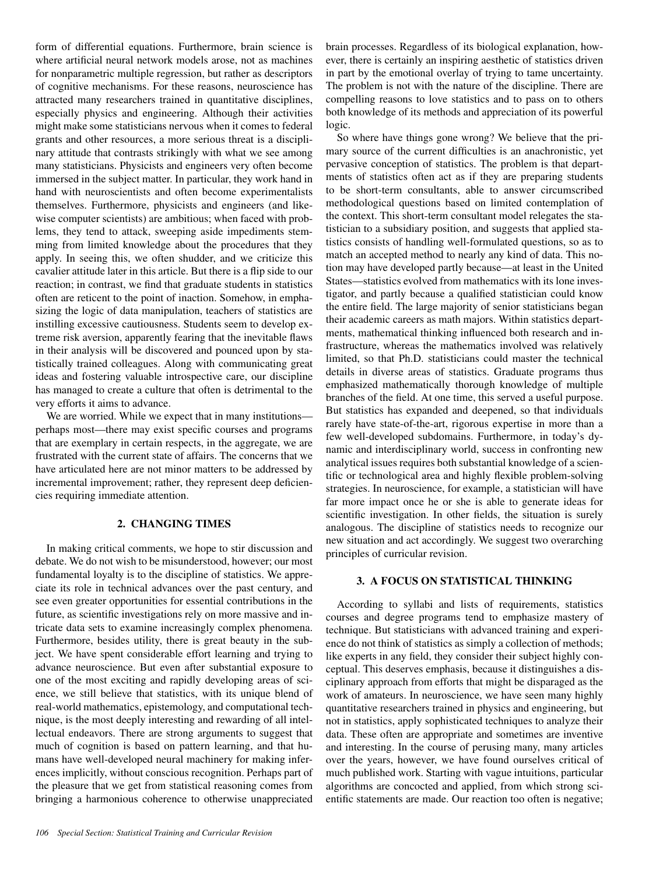form of differential equations. Furthermore, brain science is where artificial neural network models arose, not as machines for nonparametric multiple regression, but rather as descriptors of cognitive mechanisms. For these reasons, neuroscience has attracted many researchers trained in quantitative disciplines, especially physics and engineering. Although their activities might make some statisticians nervous when it comes to federal grants and other resources, a more serious threat is a disciplinary attitude that contrasts strikingly with what we see among many statisticians. Physicists and engineers very often become immersed in the subject matter. In particular, they work hand in hand with neuroscientists and often become experimentalists themselves. Furthermore, physicists and engineers (and likewise computer scientists) are ambitious; when faced with problems, they tend to attack, sweeping aside impediments stemming from limited knowledge about the procedures that they apply. In seeing this, we often shudder, and we criticize this cavalier attitude later in this article. But there is a flip side to our reaction; in contrast, we find that graduate students in statistics often are reticent to the point of inaction. Somehow, in emphasizing the logic of data manipulation, teachers of statistics are instilling excessive cautiousness. Students seem to develop extreme risk aversion, apparently fearing that the inevitable flaws in their analysis will be discovered and pounced upon by statistically trained colleagues. Along with communicating great ideas and fostering valuable introspective care, our discipline has managed to create a culture that often is detrimental to the very efforts it aims to advance.

We are worried. While we expect that in many institutions perhaps most—there may exist specific courses and programs that are exemplary in certain respects, in the aggregate, we are frustrated with the current state of affairs. The concerns that we have articulated here are not minor matters to be addressed by incremental improvement; rather, they represent deep deficiencies requiring immediate attention.

#### **2. CHANGING TIMES**

In making critical comments, we hope to stir discussion and debate. We do not wish to be misunderstood, however; our most fundamental loyalty is to the discipline of statistics. We appreciate its role in technical advances over the past century, and see even greater opportunities for essential contributions in the future, as scientific investigations rely on more massive and intricate data sets to examine increasingly complex phenomena. Furthermore, besides utility, there is great beauty in the subject. We have spent considerable effort learning and trying to advance neuroscience. But even after substantial exposure to one of the most exciting and rapidly developing areas of science, we still believe that statistics, with its unique blend of real-world mathematics, epistemology, and computational technique, is the most deeply interesting and rewarding of all intellectual endeavors. There are strong arguments to suggest that much of cognition is based on pattern learning, and that humans have well-developed neural machinery for making inferences implicitly, without conscious recognition. Perhaps part of the pleasure that we get from statistical reasoning comes from bringing a harmonious coherence to otherwise unappreciated

brain processes. Regardless of its biological explanation, however, there is certainly an inspiring aesthetic of statistics driven in part by the emotional overlay of trying to tame uncertainty. The problem is not with the nature of the discipline. There are compelling reasons to love statistics and to pass on to others both knowledge of its methods and appreciation of its powerful logic.

So where have things gone wrong? We believe that the primary source of the current difficulties is an anachronistic, yet pervasive conception of statistics. The problem is that departments of statistics often act as if they are preparing students to be short-term consultants, able to answer circumscribed methodological questions based on limited contemplation of the context. This short-term consultant model relegates the statistician to a subsidiary position, and suggests that applied statistics consists of handling well-formulated questions, so as to match an accepted method to nearly any kind of data. This notion may have developed partly because—at least in the United States—statistics evolved from mathematics with its lone investigator, and partly because a qualified statistician could know the entire field. The large majority of senior statisticians began their academic careers as math majors. Within statistics departments, mathematical thinking influenced both research and infrastructure, whereas the mathematics involved was relatively limited, so that Ph.D. statisticians could master the technical details in diverse areas of statistics. Graduate programs thus emphasized mathematically thorough knowledge of multiple branches of the field. At one time, this served a useful purpose. But statistics has expanded and deepened, so that individuals rarely have state-of-the-art, rigorous expertise in more than a few well-developed subdomains. Furthermore, in today's dynamic and interdisciplinary world, success in confronting new analytical issues requires both substantial knowledge of a scientific or technological area and highly flexible problem-solving strategies. In neuroscience, for example, a statistician will have far more impact once he or she is able to generate ideas for scientific investigation. In other fields, the situation is surely analogous. The discipline of statistics needs to recognize our new situation and act accordingly. We suggest two overarching principles of curricular revision.

#### **3. A FOCUS ON STATISTICAL THINKING**

According to syllabi and lists of requirements, statistics courses and degree programs tend to emphasize mastery of technique. But statisticians with advanced training and experience do not think of statistics as simply a collection of methods; like experts in any field, they consider their subject highly conceptual. This deserves emphasis, because it distinguishes a disciplinary approach from efforts that might be disparaged as the work of amateurs. In neuroscience, we have seen many highly quantitative researchers trained in physics and engineering, but not in statistics, apply sophisticated techniques to analyze their data. These often are appropriate and sometimes are inventive and interesting. In the course of perusing many, many articles over the years, however, we have found ourselves critical of much published work. Starting with vague intuitions, particular algorithms are concocted and applied, from which strong scientific statements are made. Our reaction too often is negative;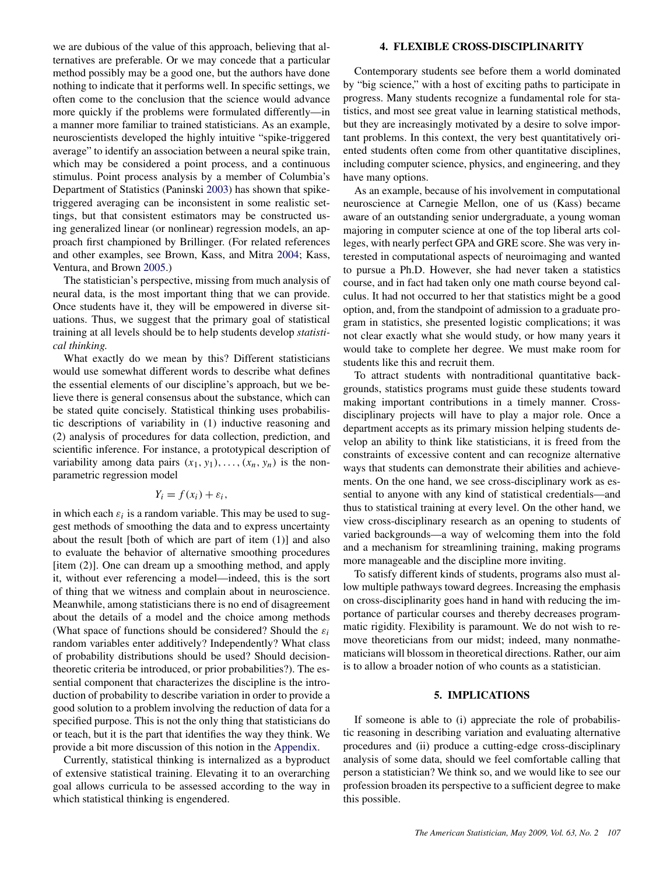we are dubious of the value of this approach, believing that alternatives are preferable. Or we may concede that a particular method possibly may be a good one, but the authors have done nothing to indicate that it performs well. In specific settings, we often come to the conclusion that the science would advance more quickly if the problems were formulated differently—in a manner more familiar to trained statisticians. As an example, neuroscientists developed the highly intuitive "spike-triggered average" to identify an association between a neural spike train, which may be considered a point process, and a continuous stimulus. Point process analysis by a member of Columbia's Department of Statistics (Paninski [2003\)](#page-5-0) has shown that spiketriggered averaging can be inconsistent in some realistic settings, but that consistent estimators may be constructed using generalized linear (or nonlinear) regression models, an approach first championed by Brillinger. (For related references and other examples, see Brown, Kass, and Mitra [2004;](#page-5-0) Kass, Ventura, and Brown [2005.](#page-5-0))

The statistician's perspective, missing from much analysis of neural data, is the most important thing that we can provide. Once students have it, they will be empowered in diverse situations. Thus, we suggest that the primary goal of statistical training at all levels should be to help students develop *statistical thinking.*

What exactly do we mean by this? Different statisticians would use somewhat different words to describe what defines the essential elements of our discipline's approach, but we believe there is general consensus about the substance, which can be stated quite concisely. Statistical thinking uses probabilistic descriptions of variability in (1) inductive reasoning and (2) analysis of procedures for data collection, prediction, and scientific inference. For instance, a prototypical description of variability among data pairs  $(x_1, y_1), \ldots, (x_n, y_n)$  is the nonparametric regression model

## $Y_i = f(x_i) + \varepsilon_i$

in which each  $\varepsilon_i$  is a random variable. This may be used to suggest methods of smoothing the data and to express uncertainty about the result [both of which are part of item (1)] and also to evaluate the behavior of alternative smoothing procedures [item (2)]. One can dream up a smoothing method, and apply it, without ever referencing a model—indeed, this is the sort of thing that we witness and complain about in neuroscience. Meanwhile, among statisticians there is no end of disagreement about the details of a model and the choice among methods (What space of functions should be considered? Should the *εi* random variables enter additively? Independently? What class of probability distributions should be used? Should decisiontheoretic criteria be introduced, or prior probabilities?). The essential component that characterizes the discipline is the introduction of probability to describe variation in order to provide a good solution to a problem involving the reduction of data for a specified purpose. This is not the only thing that statisticians do or teach, but it is the part that identifies the way they think. We provide a bit more discussion of this notion in the [Appendix.](#page-4-0)

Currently, statistical thinking is internalized as a byproduct of extensive statistical training. Elevating it to an overarching goal allows curricula to be assessed according to the way in which statistical thinking is engendered.

#### **4. FLEXIBLE CROSS-DISCIPLINARITY**

Contemporary students see before them a world dominated by "big science," with a host of exciting paths to participate in progress. Many students recognize a fundamental role for statistics, and most see great value in learning statistical methods, but they are increasingly motivated by a desire to solve important problems. In this context, the very best quantitatively oriented students often come from other quantitative disciplines, including computer science, physics, and engineering, and they have many options.

As an example, because of his involvement in computational neuroscience at Carnegie Mellon, one of us (Kass) became aware of an outstanding senior undergraduate, a young woman majoring in computer science at one of the top liberal arts colleges, with nearly perfect GPA and GRE score. She was very interested in computational aspects of neuroimaging and wanted to pursue a Ph.D. However, she had never taken a statistics course, and in fact had taken only one math course beyond calculus. It had not occurred to her that statistics might be a good option, and, from the standpoint of admission to a graduate program in statistics, she presented logistic complications; it was not clear exactly what she would study, or how many years it would take to complete her degree. We must make room for students like this and recruit them.

To attract students with nontraditional quantitative backgrounds, statistics programs must guide these students toward making important contributions in a timely manner. Crossdisciplinary projects will have to play a major role. Once a department accepts as its primary mission helping students develop an ability to think like statisticians, it is freed from the constraints of excessive content and can recognize alternative ways that students can demonstrate their abilities and achievements. On the one hand, we see cross-disciplinary work as essential to anyone with any kind of statistical credentials—and thus to statistical training at every level. On the other hand, we view cross-disciplinary research as an opening to students of varied backgrounds—a way of welcoming them into the fold and a mechanism for streamlining training, making programs more manageable and the discipline more inviting.

To satisfy different kinds of students, programs also must allow multiple pathways toward degrees. Increasing the emphasis on cross-disciplinarity goes hand in hand with reducing the importance of particular courses and thereby decreases programmatic rigidity. Flexibility is paramount. We do not wish to remove theoreticians from our midst; indeed, many nonmathematicians will blossom in theoretical directions. Rather, our aim is to allow a broader notion of who counts as a statistician.

#### **5. IMPLICATIONS**

If someone is able to (i) appreciate the role of probabilistic reasoning in describing variation and evaluating alternative procedures and (ii) produce a cutting-edge cross-disciplinary analysis of some data, should we feel comfortable calling that person a statistician? We think so, and we would like to see our profession broaden its perspective to a sufficient degree to make this possible.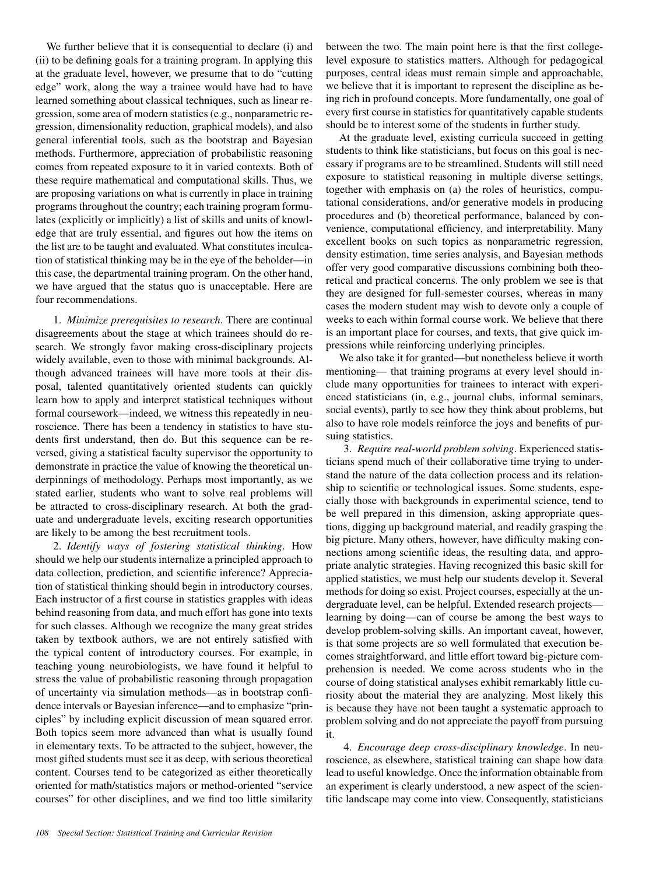We further believe that it is consequential to declare (i) and (ii) to be defining goals for a training program. In applying this at the graduate level, however, we presume that to do "cutting edge" work, along the way a trainee would have had to have learned something about classical techniques, such as linear regression, some area of modern statistics (e.g., nonparametric regression, dimensionality reduction, graphical models), and also general inferential tools, such as the bootstrap and Bayesian methods. Furthermore, appreciation of probabilistic reasoning comes from repeated exposure to it in varied contexts. Both of these require mathematical and computational skills. Thus, we are proposing variations on what is currently in place in training programs throughout the country; each training program formulates (explicitly or implicitly) a list of skills and units of knowledge that are truly essential, and figures out how the items on the list are to be taught and evaluated. What constitutes inculcation of statistical thinking may be in the eye of the beholder—in this case, the departmental training program. On the other hand, we have argued that the status quo is unacceptable. Here are four recommendations.

1. *Minimize prerequisites to research*. There are continual disagreements about the stage at which trainees should do research. We strongly favor making cross-disciplinary projects widely available, even to those with minimal backgrounds. Although advanced trainees will have more tools at their disposal, talented quantitatively oriented students can quickly learn how to apply and interpret statistical techniques without formal coursework—indeed, we witness this repeatedly in neuroscience. There has been a tendency in statistics to have students first understand, then do. But this sequence can be reversed, giving a statistical faculty supervisor the opportunity to demonstrate in practice the value of knowing the theoretical underpinnings of methodology. Perhaps most importantly, as we stated earlier, students who want to solve real problems will be attracted to cross-disciplinary research. At both the graduate and undergraduate levels, exciting research opportunities are likely to be among the best recruitment tools.

2. *Identify ways of fostering statistical thinking*. How should we help our students internalize a principled approach to data collection, prediction, and scientific inference? Appreciation of statistical thinking should begin in introductory courses. Each instructor of a first course in statistics grapples with ideas behind reasoning from data, and much effort has gone into texts for such classes. Although we recognize the many great strides taken by textbook authors, we are not entirely satisfied with the typical content of introductory courses. For example, in teaching young neurobiologists, we have found it helpful to stress the value of probabilistic reasoning through propagation of uncertainty via simulation methods—as in bootstrap confidence intervals or Bayesian inference—and to emphasize "principles" by including explicit discussion of mean squared error. Both topics seem more advanced than what is usually found in elementary texts. To be attracted to the subject, however, the most gifted students must see it as deep, with serious theoretical content. Courses tend to be categorized as either theoretically oriented for math/statistics majors or method-oriented "service courses" for other disciplines, and we find too little similarity

between the two. The main point here is that the first collegelevel exposure to statistics matters. Although for pedagogical purposes, central ideas must remain simple and approachable, we believe that it is important to represent the discipline as being rich in profound concepts. More fundamentally, one goal of every first course in statistics for quantitatively capable students should be to interest some of the students in further study.

At the graduate level, existing curricula succeed in getting students to think like statisticians, but focus on this goal is necessary if programs are to be streamlined. Students will still need exposure to statistical reasoning in multiple diverse settings, together with emphasis on (a) the roles of heuristics, computational considerations, and/or generative models in producing procedures and (b) theoretical performance, balanced by convenience, computational efficiency, and interpretability. Many excellent books on such topics as nonparametric regression, density estimation, time series analysis, and Bayesian methods offer very good comparative discussions combining both theoretical and practical concerns. The only problem we see is that they are designed for full-semester courses, whereas in many cases the modern student may wish to devote only a couple of weeks to each within formal course work. We believe that there is an important place for courses, and texts, that give quick impressions while reinforcing underlying principles.

We also take it for granted—but nonetheless believe it worth mentioning— that training programs at every level should include many opportunities for trainees to interact with experienced statisticians (in, e.g., journal clubs, informal seminars, social events), partly to see how they think about problems, but also to have role models reinforce the joys and benefits of pursuing statistics.

3. *Require real-world problem solving*. Experienced statisticians spend much of their collaborative time trying to understand the nature of the data collection process and its relationship to scientific or technological issues. Some students, especially those with backgrounds in experimental science, tend to be well prepared in this dimension, asking appropriate questions, digging up background material, and readily grasping the big picture. Many others, however, have difficulty making connections among scientific ideas, the resulting data, and appropriate analytic strategies. Having recognized this basic skill for applied statistics, we must help our students develop it. Several methods for doing so exist. Project courses, especially at the undergraduate level, can be helpful. Extended research projects learning by doing—can of course be among the best ways to develop problem-solving skills. An important caveat, however, is that some projects are so well formulated that execution becomes straightforward, and little effort toward big-picture comprehension is needed. We come across students who in the course of doing statistical analyses exhibit remarkably little curiosity about the material they are analyzing. Most likely this is because they have not been taught a systematic approach to problem solving and do not appreciate the payoff from pursuing it.

4. *Encourage deep cross-disciplinary knowledge*. In neuroscience, as elsewhere, statistical training can shape how data lead to useful knowledge. Once the information obtainable from an experiment is clearly understood, a new aspect of the scientific landscape may come into view. Consequently, statisticians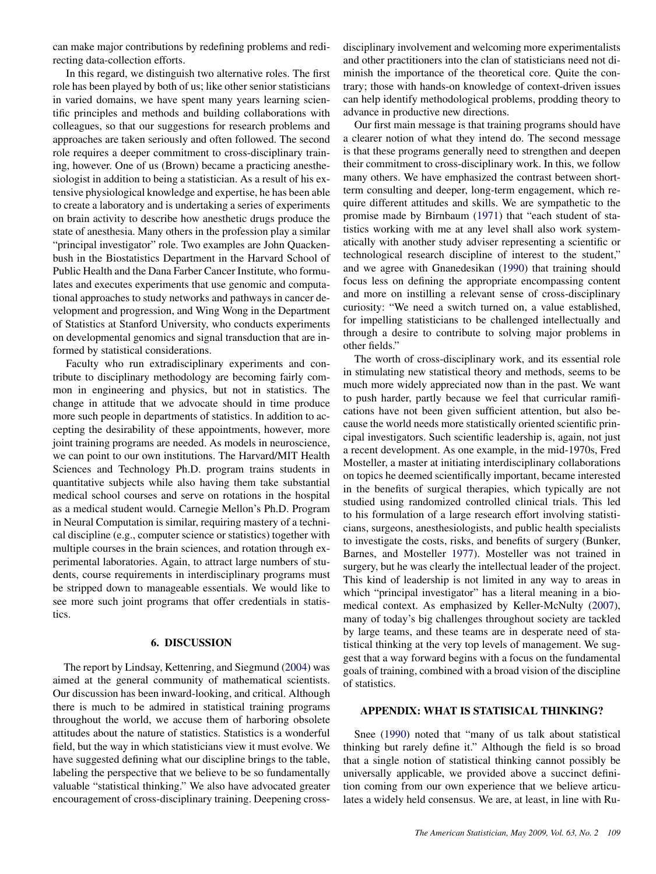<span id="page-4-0"></span>can make major contributions by redefining problems and redirecting data-collection efforts.

In this regard, we distinguish two alternative roles. The first role has been played by both of us; like other senior statisticians in varied domains, we have spent many years learning scientific principles and methods and building collaborations with colleagues, so that our suggestions for research problems and approaches are taken seriously and often followed. The second role requires a deeper commitment to cross-disciplinary training, however. One of us (Brown) became a practicing anesthesiologist in addition to being a statistician. As a result of his extensive physiological knowledge and expertise, he has been able to create a laboratory and is undertaking a series of experiments on brain activity to describe how anesthetic drugs produce the state of anesthesia. Many others in the profession play a similar "principal investigator" role. Two examples are John Quackenbush in the Biostatistics Department in the Harvard School of Public Health and the Dana Farber Cancer Institute, who formulates and executes experiments that use genomic and computational approaches to study networks and pathways in cancer development and progression, and Wing Wong in the Department of Statistics at Stanford University, who conducts experiments on developmental genomics and signal transduction that are informed by statistical considerations.

Faculty who run extradisciplinary experiments and contribute to disciplinary methodology are becoming fairly common in engineering and physics, but not in statistics. The change in attitude that we advocate should in time produce more such people in departments of statistics. In addition to accepting the desirability of these appointments, however, more joint training programs are needed. As models in neuroscience, we can point to our own institutions. The Harvard/MIT Health Sciences and Technology Ph.D. program trains students in quantitative subjects while also having them take substantial medical school courses and serve on rotations in the hospital as a medical student would. Carnegie Mellon's Ph.D. Program in Neural Computation is similar, requiring mastery of a technical discipline (e.g., computer science or statistics) together with multiple courses in the brain sciences, and rotation through experimental laboratories. Again, to attract large numbers of students, course requirements in interdisciplinary programs must be stripped down to manageable essentials. We would like to see more such joint programs that offer credentials in statistics.

#### **6. DISCUSSION**

The report by Lindsay, Kettenring, and Siegmund [\(2004\)](#page-5-0) was aimed at the general community of mathematical scientists. Our discussion has been inward-looking, and critical. Although there is much to be admired in statistical training programs throughout the world, we accuse them of harboring obsolete attitudes about the nature of statistics. Statistics is a wonderful field, but the way in which statisticians view it must evolve. We have suggested defining what our discipline brings to the table, labeling the perspective that we believe to be so fundamentally valuable "statistical thinking." We also have advocated greater encouragement of cross-disciplinary training. Deepening crossdisciplinary involvement and welcoming more experimentalists and other practitioners into the clan of statisticians need not diminish the importance of the theoretical core. Quite the contrary; those with hands-on knowledge of context-driven issues can help identify methodological problems, prodding theory to advance in productive new directions.

Our first main message is that training programs should have a clearer notion of what they intend do. The second message is that these programs generally need to strengthen and deepen their commitment to cross-disciplinary work. In this, we follow many others. We have emphasized the contrast between shortterm consulting and deeper, long-term engagement, which require different attitudes and skills. We are sympathetic to the promise made by Birnbaum [\(1971\)](#page-5-0) that "each student of statistics working with me at any level shall also work systematically with another study adviser representing a scientific or technological research discipline of interest to the student," and we agree with Gnanedesikan [\(1990\)](#page-5-0) that training should focus less on defining the appropriate encompassing content and more on instilling a relevant sense of cross-disciplinary curiosity: "We need a switch turned on, a value established, for impelling statisticians to be challenged intellectually and through a desire to contribute to solving major problems in other fields."

The worth of cross-disciplinary work, and its essential role in stimulating new statistical theory and methods, seems to be much more widely appreciated now than in the past. We want to push harder, partly because we feel that curricular ramifications have not been given sufficient attention, but also because the world needs more statistically oriented scientific principal investigators. Such scientific leadership is, again, not just a recent development. As one example, in the mid-1970s, Fred Mosteller, a master at initiating interdisciplinary collaborations on topics he deemed scientifically important, became interested in the benefits of surgical therapies, which typically are not studied using randomized controlled clinical trials. This led to his formulation of a large research effort involving statisticians, surgeons, anesthesiologists, and public health specialists to investigate the costs, risks, and benefits of surgery (Bunker, Barnes, and Mosteller [1977\)](#page-5-0). Mosteller was not trained in surgery, but he was clearly the intellectual leader of the project. This kind of leadership is not limited in any way to areas in which "principal investigator" has a literal meaning in a biomedical context. As emphasized by Keller-McNulty [\(2007\)](#page-5-0), many of today's big challenges throughout society are tackled by large teams, and these teams are in desperate need of statistical thinking at the very top levels of management. We suggest that a way forward begins with a focus on the fundamental goals of training, combined with a broad vision of the discipline of statistics.

### **APPENDIX: WHAT IS STATISICAL THINKING?**

Snee [\(1990\)](#page-5-0) noted that "many of us talk about statistical thinking but rarely define it." Although the field is so broad that a single notion of statistical thinking cannot possibly be universally applicable, we provided above a succinct definition coming from our own experience that we believe articulates a widely held consensus. We are, at least, in line with Ru-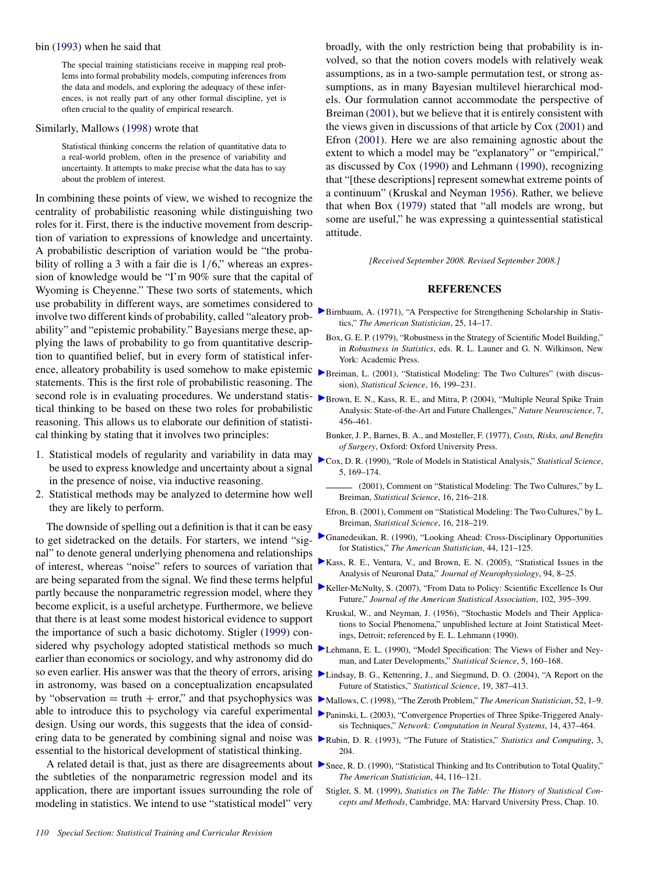#### <span id="page-5-0"></span>bin (1993) when he said that

The special training statisticians receive in mapping real problems into formal probability models, computing inferences from the data and models, and exploring the adequacy of these inferences, is not really part of any other formal discipline, yet is often crucial to the quality of empirical research.

#### Similarly, Mallows (1998) wrote that

Statistical thinking concerns the relation of quantitative data to a real-world problem, often in the presence of variability and uncertainty. It attempts to make precise what the data has to say about the problem of interest.

In combining these points of view, we wished to recognize the centrality of probabilistic reasoning while distinguishing two roles for it. First, there is the inductive movement from description of variation to expressions of knowledge and uncertainty. A probabilistic description of variation would be "the probability of rolling a 3 with a fair die is 1*/*6," whereas an expression of knowledge would be "I'm 90% sure that the capital of Wyoming is Cheyenne." These two sorts of statements, which use probability in different ways, are sometimes considered to involve two different kinds of probability, called "aleatory probability" and "epistemic probability." Bayesians merge these, applying the laws of probability to go from quantitative description to quantified belief, but in every form of statistical inference, alleatory probability is used somehow to make epistemic  $\triangleright$  Breiman, L. (2001), "Statistical Modeling: The Two Cultures" (with discusstatements. This is the first role of probabilistic reasoning. The second role is in evaluating procedures. We understand statistical thinking to be based on these two roles for probabilistic reasoning. This allows us to elaborate our definition of statistical thinking by stating that it involves two principles:

- 1. Statistical models of regularity and variability in data may be used to express knowledge and uncertainty about a signal in the presence of noise, via inductive reasoning.
- 2. Statistical methods may be analyzed to determine how well they are likely to perform.

The downside of spelling out a definition is that it can be easy to get sidetracked on the details. For starters, we intend "signal" to denote general underlying phenomena and relationships of interest, whereas "noise" refers to sources of variation that are being separated from the signal. We find these terms helpful partly because the nonparametric regression model, where they become explicit, is a useful archetype. Furthermore, we believe that there is at least some modest historical evidence to support the importance of such a basic dichotomy. Stigler (1999) considered why psychology adopted statistical methods so much Lehmann, E. L. (1990), "Model Specification: The Views of Fisher and Neyearlier than economics or sociology, and why astronomy did do so even earlier. His answer was that the theory of errors, arising Lindsay, B. G., Kettenring, J., and Siegmund, D. O. (2004), "A Report on the in astronomy, was based on a conceptualization encapsulated by "observation  $=$  truth  $+$  error," and that psychophysics was able to introduce this to psychology via careful experimental design. Using our words, this suggests that the idea of considering data to be generated by combining signal and noise was **Rubin**, D. R. (1993), "The Future of Statistics," Statistics and Computing, 3, essential to the historical development of statistical thinking.

A related detail is that, just as there are disagreements about Snee, R. D. (1990), "Statistical Thinking and Its Contribution to Total Quality," the subtleties of the nonparametric regression model and its application, there are important issues surrounding the role of modeling in statistics. We intend to use "statistical model" very

broadly, with the only restriction being that probability is involved, so that the notion covers models with relatively weak assumptions, as in a two-sample permutation test, or strong assumptions, as in many Bayesian multilevel hierarchical models. Our formulation cannot accommodate the perspective of Breiman (2001), but we believe that it is entirely consistent with the views given in discussions of that article by Cox (2001) and Efron (2001). Here we are also remaining agnostic about the extent to which a model may be "explanatory" or "empirical," as discussed by Cox (1990) and Lehmann (1990), recognizing that "[these descriptions] represent somewhat extreme points of a continuum" (Kruskal and Neyman 1956). Rather, we believe that when Box (1979) stated that "all models are wrong, but some are useful," he was expressing a quintessential statistical attitude.

*[Received September 2008. Revised September 2008.]*

- Birnbaum, A. (1971), "A Perspective for Strengthening Scholarship in Statistics," *The American Statistician*, 25, 14–17.
- Box, G. E. P. (1979), "Robustness in the Strategy of Scientific Model Building," in *Robustness in Statistics*, eds. R. L. Launer and G. N. Wilkinson, New York: Academic Press.
- sion), *Statistical Science*, 16, 199–231.
- Brown, E. N., Kass, R. E., and Mitra, P. (2004), "Multiple Neural Spike Train Analysis: State-of-the-Art and Future Challenges," *Nature Neuroscience*, 7, 456–461.
- Bunker, J. P., Barnes, B. A., and Mosteller, F. (1977), *Costs, Risks, and Benefits of Surgery*, Oxford: Oxford University Press.
- Cox, D. R. (1990), "Role of Models in Statistical Analysis," *Statistical Science*, 5, 169–174.
	- (2001), Comment on "Statistical Modeling: The Two Cultures," by L. Breiman, *Statistical Science*, 16, 216–218.
- Efron, B. (2001), Comment on "Statistical Modeling: The Two Cultures," by L. Breiman, *Statistical Science*, 16, 218–219.
- Gnanedesikan, R. (1990), "Looking Ahead: Cross-Disciplinary Opportunities for Statistics," *The American Statistician*, 44, 121–125.
- Kass, R. E., Ventura, V., and Brown, E. N. (2005), "Statistical Issues in the Analysis of Neuronal Data," *Journal of Neurophysiology*, 94, 8–25.
- Keller-McNulty, S. (2007), "From Data to Policy: Scientific Excellence Is Our Future," *Journal of the American Statistical Association*, 102, 395–399.
- Kruskal, W., and Neyman, J. (1956), "Stochastic Models and Their Applications to Social Phenomena," unpublished lecture at Joint Statistical Meetings, Detroit; referenced by E. L. Lehmann (1990).
- man, and Later Developments," *Statistical Science*, 5, 160–168.
- Future of Statistics," *Statistical Science*, 19, 387–413.
- Mallows, C. (1998), "The Zeroth Problem," *The American Statistician*, 52, 1–9.
- Paninski, L. (2003), "Convergence Properties of Three Spike-Triggered Analysis Techniques," *Network: Computation in Neural Systems*, 14, 437–464.
- 204.
- *The American Statistician*, 44, 116–121.
- Stigler, S. M. (1999), *Statistics on The Table: The History of Statistical Concepts and Methods*, Cambridge, MA: Harvard University Press, Chap. 10.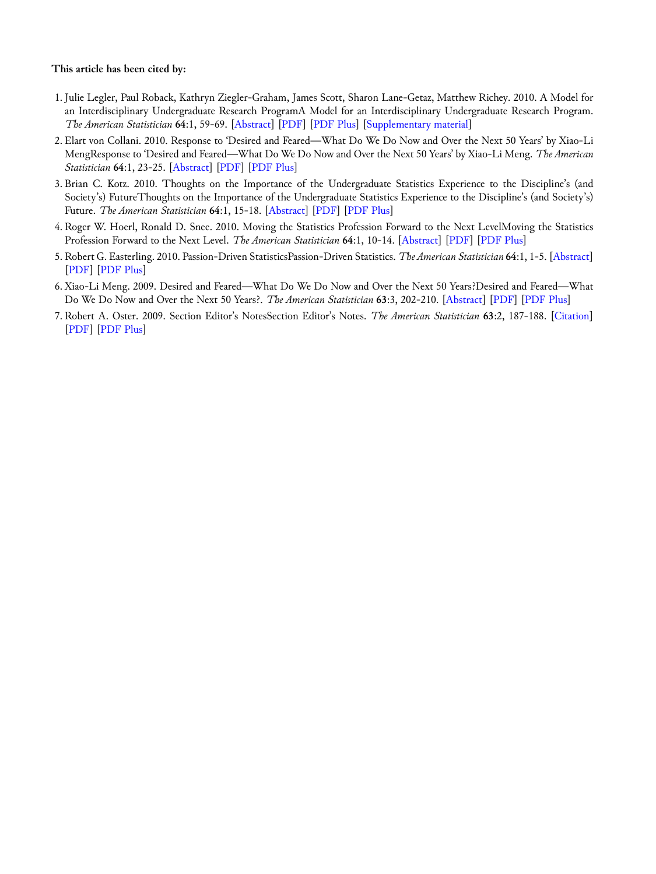#### **This article has been cited by:**

- 1. Julie Legler, Paul Roback, Kathryn Ziegler-Graham, James Scott, Sharon Lane-Getaz, Matthew Richey. 2010. A Model for an Interdisciplinary Undergraduate Research ProgramA Model for an Interdisciplinary Undergraduate Research Program. *The American Statistician* **64**:1, 59-69. [\[Abstract](http://dx.doi.org/10.1198/tast.2010.09198)] [\[PDF\]](http://pubs.amstat.org/doi/pdf/10.1198/tast.2010.09198) [[PDF Plus](http://pubs.amstat.org/doi/pdfplus/10.1198/tast.2010.09198)] [[Supplementary material](http://pubs.amstat.org/doi/suppl/10.1198/tast.2010.09198)]
- 2. Elart von Collani. 2010. Response to 'Desired and Feared—What Do We Do Now and Over the Next 50 Years' by Xiao-Li MengResponse to 'Desired and Feared—What Do We Do Now and Over the Next 50 Years' by Xiao-Li Meng. *The American Statistician* **64**:1, 23-25. [\[Abstract](http://dx.doi.org/10.1198/tast.2010.09190)] [\[PDF](http://pubs.amstat.org/doi/pdf/10.1198/tast.2010.09190)] [[PDF Plus](http://pubs.amstat.org/doi/pdfplus/10.1198/tast.2010.09190)]
- 3. Brian C. Kotz. 2010. Thoughts on the Importance of the Undergraduate Statistics Experience to the Discipline's (and Society's) FutureThoughts on the Importance of the Undergraduate Statistics Experience to the Discipline's (and Society's) Future. *The American Statistician* **64**:1, 15-18. [\[Abstract](http://dx.doi.org/10.1198/tast.2010.09185)] [\[PDF\]](http://pubs.amstat.org/doi/pdf/10.1198/tast.2010.09185) [[PDF Plus\]](http://pubs.amstat.org/doi/pdfplus/10.1198/tast.2010.09185)
- 4. Roger W. Hoerl, Ronald D. Snee. 2010. Moving the Statistics Profession Forward to the Next LevelMoving the Statistics Profession Forward to the Next Level. *The American Statistician* **64**:1, 10-14. [[Abstract\]](http://dx.doi.org/10.1198/tast.2010.09240) [[PDF](http://pubs.amstat.org/doi/pdf/10.1198/tast.2010.09240)] [\[PDF Plus\]](http://pubs.amstat.org/doi/pdfplus/10.1198/tast.2010.09240)
- 5. Robert G. Easterling. 2010. Passion-Driven StatisticsPassion-Driven Statistics. *The American Statistician* **64**:1, 1-5. [[Abstract\]](http://dx.doi.org/10.1198/tast.2010.09180) [\[PDF](http://pubs.amstat.org/doi/pdf/10.1198/tast.2010.09180)] [[PDF Plus](http://pubs.amstat.org/doi/pdfplus/10.1198/tast.2010.09180)]
- 6. Xiao-Li Meng. 2009. Desired and Feared—What Do We Do Now and Over the Next 50 Years?Desired and Feared—What Do We Do Now and Over the Next 50 Years?. *The American Statistician* **63**:3, 202-210. [[Abstract\]](http://dx.doi.org/10.1198/tast.2009.09045) [[PDF](http://pubs.amstat.org/doi/pdf/10.1198/tast.2009.09045)] [\[PDF Plus\]](http://pubs.amstat.org/doi/pdfplus/10.1198/tast.2009.09045)
- 7. Robert A. Oster. 2009. Section Editor's NotesSection Editor's Notes. *The American Statistician* **63**:2, 187-188. [\[Citation\]](http://dx.doi.org/10.1198/tast.2009.0035) [\[PDF](http://pubs.amstat.org/doi/pdf/10.1198/tast.2009.0035)] [[PDF Plus](http://pubs.amstat.org/doi/pdfplus/10.1198/tast.2009.0035)]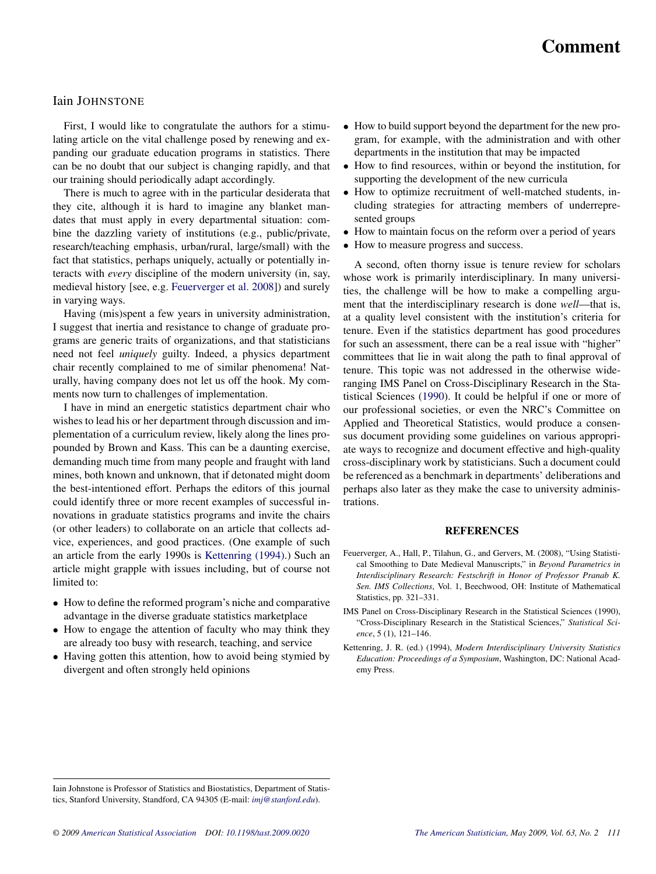## Iain JOHNSTONE

First, I would like to congratulate the authors for a stimulating article on the vital challenge posed by renewing and expanding our graduate education programs in statistics. There can be no doubt that our subject is changing rapidly, and that our training should periodically adapt accordingly.

There is much to agree with in the particular desiderata that they cite, although it is hard to imagine any blanket mandates that must apply in every departmental situation: combine the dazzling variety of institutions (e.g., public/private, research/teaching emphasis, urban/rural, large/small) with the fact that statistics, perhaps uniquely, actually or potentially interacts with *every* discipline of the modern university (in, say, medieval history [see, e.g. Feuerverger et al. 2008]) and surely in varying ways.

Having (mis)spent a few years in university administration, I suggest that inertia and resistance to change of graduate programs are generic traits of organizations, and that statisticians need not feel *uniquely* guilty. Indeed, a physics department chair recently complained to me of similar phenomena! Naturally, having company does not let us off the hook. My comments now turn to challenges of implementation.

I have in mind an energetic statistics department chair who wishes to lead his or her department through discussion and implementation of a curriculum review, likely along the lines propounded by Brown and Kass. This can be a daunting exercise, demanding much time from many people and fraught with land mines, both known and unknown, that if detonated might doom the best-intentioned effort. Perhaps the editors of this journal could identify three or more recent examples of successful innovations in graduate statistics programs and invite the chairs (or other leaders) to collaborate on an article that collects advice, experiences, and good practices. (One example of such an article from the early 1990s is Kettenring (1994).) Such an article might grapple with issues including, but of course not limited to:

- How to define the reformed program's niche and comparative advantage in the diverse graduate statistics marketplace
- How to engage the attention of faculty who may think they are already too busy with research, teaching, and service
- Having gotten this attention, how to avoid being stymied by divergent and often strongly held opinions
- How to build support beyond the department for the new program, for example, with the administration and with other departments in the institution that may be impacted
- How to find resources, within or beyond the institution, for supporting the development of the new curricula
- How to optimize recruitment of well-matched students, including strategies for attracting members of underrepresented groups
- How to maintain focus on the reform over a period of years
- How to measure progress and success.

A second, often thorny issue is tenure review for scholars whose work is primarily interdisciplinary. In many universities, the challenge will be how to make a compelling argument that the interdisciplinary research is done *well*—that is, at a quality level consistent with the institution's criteria for tenure. Even if the statistics department has good procedures for such an assessment, there can be a real issue with "higher" committees that lie in wait along the path to final approval of tenure. This topic was not addressed in the otherwise wideranging IMS Panel on Cross-Disciplinary Research in the Statistical Sciences (1990). It could be helpful if one or more of our professional societies, or even the NRC's Committee on Applied and Theoretical Statistics, would produce a consensus document providing some guidelines on various appropriate ways to recognize and document effective and high-quality cross-disciplinary work by statisticians. Such a document could be referenced as a benchmark in departments' deliberations and perhaps also later as they make the case to university administrations.

- Feuerverger, A., Hall, P., Tilahun, G., and Gervers, M. (2008), "Using Statistical Smoothing to Date Medieval Manuscripts," in *Beyond Parametrics in Interdisciplinary Research: Festschrift in Honor of Professor Pranab K. Sen. IMS Collections*, Vol. 1, Beechwood, OH: Institute of Mathematical Statistics, pp. 321–331.
- IMS Panel on Cross-Disciplinary Research in the Statistical Sciences (1990), "Cross-Disciplinary Research in the Statistical Sciences," *Statistical Science*, 5 (1), 121–146.
- Kettenring, J. R. (ed.) (1994), *Modern Interdisciplinary University Statistics Education: Proceedings of a Symposium*, Washington, DC: National Academy Press.

Iain Johnstone is Professor of Statistics and Biostatistics, Department of Statistics, Stanford University, Standford, CA 94305 (E-mail: *[imj@stanford.edu](mailto:imj@stanford.edu)*).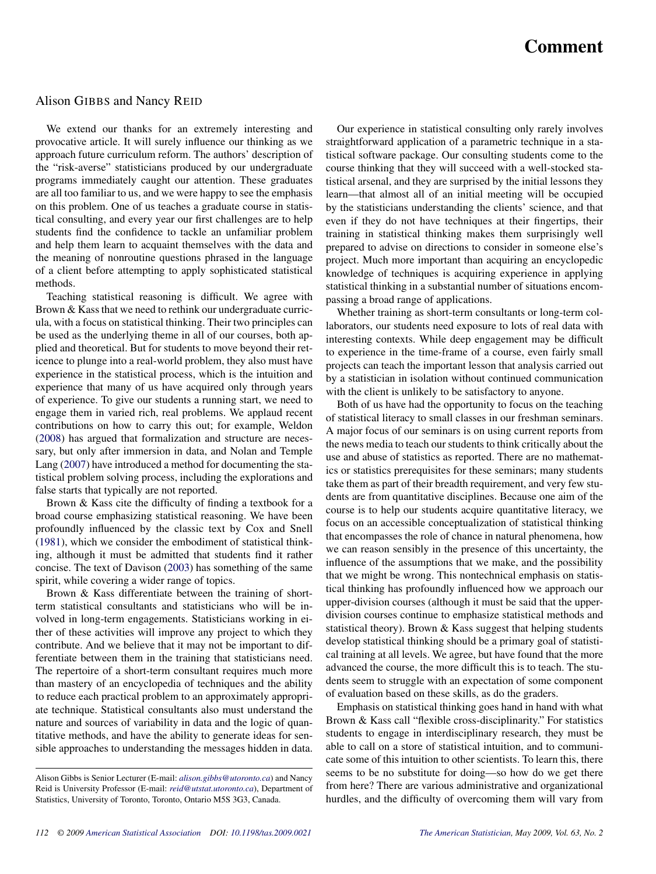## Alison GIBBS and Nancy REID

We extend our thanks for an extremely interesting and provocative article. It will surely influence our thinking as we approach future curriculum reform. The authors' description of the "risk-averse" statisticians produced by our undergraduate programs immediately caught our attention. These graduates are all too familiar to us, and we were happy to see the emphasis on this problem. One of us teaches a graduate course in statistical consulting, and every year our first challenges are to help students find the confidence to tackle an unfamiliar problem and help them learn to acquaint themselves with the data and the meaning of nonroutine questions phrased in the language of a client before attempting to apply sophisticated statistical methods.

Teaching statistical reasoning is difficult. We agree with Brown & Kass that we need to rethink our undergraduate curricula, with a focus on statistical thinking. Their two principles can be used as the underlying theme in all of our courses, both applied and theoretical. But for students to move beyond their reticence to plunge into a real-world problem, they also must have experience in the statistical process, which is the intuition and experience that many of us have acquired only through years of experience. To give our students a running start, we need to engage them in varied rich, real problems. We applaud recent contributions on how to carry this out; for example, Weldon [\(2008\)](#page-9-0) has argued that formalization and structure are necessary, but only after immersion in data, and Nolan and Temple Lang [\(2007\)](#page-9-0) have introduced a method for documenting the statistical problem solving process, including the explorations and false starts that typically are not reported.

Brown & Kass cite the difficulty of finding a textbook for a broad course emphasizing statistical reasoning. We have been profoundly influenced by the classic text by Cox and Snell [\(1981\)](#page-9-0), which we consider the embodiment of statistical thinking, although it must be admitted that students find it rather concise. The text of Davison [\(2003\)](#page-9-0) has something of the same spirit, while covering a wider range of topics.

Brown & Kass differentiate between the training of shortterm statistical consultants and statisticians who will be involved in long-term engagements. Statisticians working in either of these activities will improve any project to which they contribute. And we believe that it may not be important to differentiate between them in the training that statisticians need. The repertoire of a short-term consultant requires much more than mastery of an encyclopedia of techniques and the ability to reduce each practical problem to an approximately appropriate technique. Statistical consultants also must understand the nature and sources of variability in data and the logic of quantitative methods, and have the ability to generate ideas for sensible approaches to understanding the messages hidden in data.

Our experience in statistical consulting only rarely involves straightforward application of a parametric technique in a statistical software package. Our consulting students come to the course thinking that they will succeed with a well-stocked statistical arsenal, and they are surprised by the initial lessons they learn—that almost all of an initial meeting will be occupied by the statisticians understanding the clients' science, and that even if they do not have techniques at their fingertips, their training in statistical thinking makes them surprisingly well prepared to advise on directions to consider in someone else's project. Much more important than acquiring an encyclopedic knowledge of techniques is acquiring experience in applying statistical thinking in a substantial number of situations encompassing a broad range of applications.

Whether training as short-term consultants or long-term collaborators, our students need exposure to lots of real data with interesting contexts. While deep engagement may be difficult to experience in the time-frame of a course, even fairly small projects can teach the important lesson that analysis carried out by a statistician in isolation without continued communication with the client is unlikely to be satisfactory to anyone.

Both of us have had the opportunity to focus on the teaching of statistical literacy to small classes in our freshman seminars. A major focus of our seminars is on using current reports from the news media to teach our students to think critically about the use and abuse of statistics as reported. There are no mathematics or statistics prerequisites for these seminars; many students take them as part of their breadth requirement, and very few students are from quantitative disciplines. Because one aim of the course is to help our students acquire quantitative literacy, we focus on an accessible conceptualization of statistical thinking that encompasses the role of chance in natural phenomena, how we can reason sensibly in the presence of this uncertainty, the influence of the assumptions that we make, and the possibility that we might be wrong. This nontechnical emphasis on statistical thinking has profoundly influenced how we approach our upper-division courses (although it must be said that the upperdivision courses continue to emphasize statistical methods and statistical theory). Brown & Kass suggest that helping students develop statistical thinking should be a primary goal of statistical training at all levels. We agree, but have found that the more advanced the course, the more difficult this is to teach. The students seem to struggle with an expectation of some component of evaluation based on these skills, as do the graders.

Emphasis on statistical thinking goes hand in hand with what Brown & Kass call "flexible cross-disciplinarity." For statistics students to engage in interdisciplinary research, they must be able to call on a store of statistical intuition, and to communicate some of this intuition to other scientists. To learn this, there seems to be no substitute for doing—so how do we get there from here? There are various administrative and organizational hurdles, and the difficulty of overcoming them will vary from

Alison Gibbs is Senior Lecturer (E-mail: *[alison.gibbs@utoronto.ca](mailto:alison.gibbs@utoronto.ca)*) and Nancy Reid is University Professor (E-mail: *[reid@utstat.utoronto.ca](mailto:reid@utstat.utoronto.ca)*), Department of Statistics, University of Toronto, Toronto, Ontario M5S 3G3, Canada.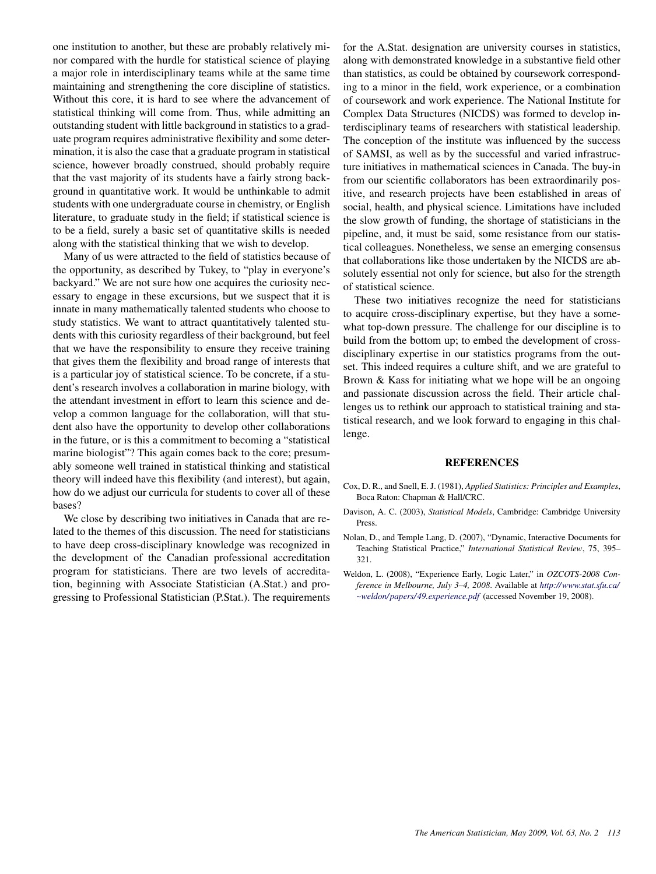<span id="page-9-0"></span>one institution to another, but these are probably relatively minor compared with the hurdle for statistical science of playing a major role in interdisciplinary teams while at the same time maintaining and strengthening the core discipline of statistics. Without this core, it is hard to see where the advancement of statistical thinking will come from. Thus, while admitting an outstanding student with little background in statistics to a graduate program requires administrative flexibility and some determination, it is also the case that a graduate program in statistical science, however broadly construed, should probably require that the vast majority of its students have a fairly strong background in quantitative work. It would be unthinkable to admit students with one undergraduate course in chemistry, or English literature, to graduate study in the field; if statistical science is to be a field, surely a basic set of quantitative skills is needed along with the statistical thinking that we wish to develop.

Many of us were attracted to the field of statistics because of the opportunity, as described by Tukey, to "play in everyone's backyard." We are not sure how one acquires the curiosity necessary to engage in these excursions, but we suspect that it is innate in many mathematically talented students who choose to study statistics. We want to attract quantitatively talented students with this curiosity regardless of their background, but feel that we have the responsibility to ensure they receive training that gives them the flexibility and broad range of interests that is a particular joy of statistical science. To be concrete, if a student's research involves a collaboration in marine biology, with the attendant investment in effort to learn this science and develop a common language for the collaboration, will that student also have the opportunity to develop other collaborations in the future, or is this a commitment to becoming a "statistical marine biologist"? This again comes back to the core; presumably someone well trained in statistical thinking and statistical theory will indeed have this flexibility (and interest), but again, how do we adjust our curricula for students to cover all of these bases?

We close by describing two initiatives in Canada that are related to the themes of this discussion. The need for statisticians to have deep cross-disciplinary knowledge was recognized in the development of the Canadian professional accreditation program for statisticians. There are two levels of accreditation, beginning with Associate Statistician (A.Stat.) and progressing to Professional Statistician (P.Stat.). The requirements for the A.Stat. designation are university courses in statistics, along with demonstrated knowledge in a substantive field other than statistics, as could be obtained by coursework corresponding to a minor in the field, work experience, or a combination of coursework and work experience. The National Institute for Complex Data Structures (NICDS) was formed to develop interdisciplinary teams of researchers with statistical leadership. The conception of the institute was influenced by the success of SAMSI, as well as by the successful and varied infrastructure initiatives in mathematical sciences in Canada. The buy-in from our scientific collaborators has been extraordinarily positive, and research projects have been established in areas of social, health, and physical science. Limitations have included the slow growth of funding, the shortage of statisticians in the pipeline, and, it must be said, some resistance from our statistical colleagues. Nonetheless, we sense an emerging consensus that collaborations like those undertaken by the NICDS are absolutely essential not only for science, but also for the strength of statistical science.

These two initiatives recognize the need for statisticians to acquire cross-disciplinary expertise, but they have a somewhat top-down pressure. The challenge for our discipline is to build from the bottom up; to embed the development of crossdisciplinary expertise in our statistics programs from the outset. This indeed requires a culture shift, and we are grateful to Brown & Kass for initiating what we hope will be an ongoing and passionate discussion across the field. Their article challenges us to rethink our approach to statistical training and statistical research, and we look forward to engaging in this challenge.

- Cox, D. R., and Snell, E. J. (1981), *Applied Statistics: Principles and Examples*, Boca Raton: Chapman & Hall/CRC.
- Davison, A. C. (2003), *Statistical Models*, Cambridge: Cambridge University Press.
- Nolan, D., and Temple Lang, D. (2007), "Dynamic, Interactive Documents for Teaching Statistical Practice," *International Statistical Review*, 75, 395– 321.
- Weldon, L. (2008), "Experience Early, Logic Later," in *OZCOTS-2008 Conference in Melbourne, July 3–4, 2008*. Available at *[http://www.stat.sfu.ca/](http://www.stat.sfu.ca/~weldon/papers/49.experience.pdf) [~weldon/ papers/ 49.experience.pdf](http://www.stat.sfu.ca/~weldon/papers/49.experience.pdf)* (accessed November 19, 2008).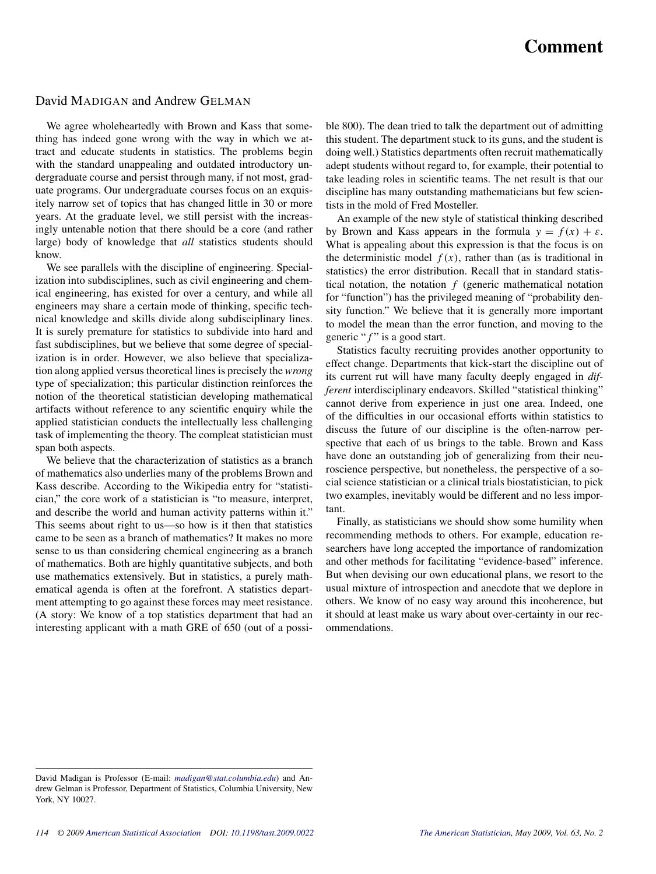## **Comment**

### David MADIGAN and Andrew GELMAN

We agree wholeheartedly with Brown and Kass that something has indeed gone wrong with the way in which we attract and educate students in statistics. The problems begin with the standard unappealing and outdated introductory undergraduate course and persist through many, if not most, graduate programs. Our undergraduate courses focus on an exquisitely narrow set of topics that has changed little in 30 or more years. At the graduate level, we still persist with the increasingly untenable notion that there should be a core (and rather large) body of knowledge that *all* statistics students should know.

We see parallels with the discipline of engineering. Specialization into subdisciplines, such as civil engineering and chemical engineering, has existed for over a century, and while all engineers may share a certain mode of thinking, specific technical knowledge and skills divide along subdisciplinary lines. It is surely premature for statistics to subdivide into hard and fast subdisciplines, but we believe that some degree of specialization is in order. However, we also believe that specialization along applied versus theoretical lines is precisely the *wrong* type of specialization; this particular distinction reinforces the notion of the theoretical statistician developing mathematical artifacts without reference to any scientific enquiry while the applied statistician conducts the intellectually less challenging task of implementing the theory. The compleat statistician must span both aspects.

We believe that the characterization of statistics as a branch of mathematics also underlies many of the problems Brown and Kass describe. According to the Wikipedia entry for "statistician," the core work of a statistician is "to measure, interpret, and describe the world and human activity patterns within it." This seems about right to us—so how is it then that statistics came to be seen as a branch of mathematics? It makes no more sense to us than considering chemical engineering as a branch of mathematics. Both are highly quantitative subjects, and both use mathematics extensively. But in statistics, a purely mathematical agenda is often at the forefront. A statistics department attempting to go against these forces may meet resistance. (A story: We know of a top statistics department that had an interesting applicant with a math GRE of 650 (out of a possible 800). The dean tried to talk the department out of admitting this student. The department stuck to its guns, and the student is doing well.) Statistics departments often recruit mathematically adept students without regard to, for example, their potential to take leading roles in scientific teams. The net result is that our discipline has many outstanding mathematicians but few scientists in the mold of Fred Mosteller.

An example of the new style of statistical thinking described by Brown and Kass appears in the formula  $y = f(x) + \varepsilon$ . What is appealing about this expression is that the focus is on the deterministic model  $f(x)$ , rather than (as is traditional in statistics) the error distribution. Recall that in standard statistical notation, the notation  $f$  (generic mathematical notation for "function") has the privileged meaning of "probability density function." We believe that it is generally more important to model the mean than the error function, and moving to the generic "*f* " is a good start.

Statistics faculty recruiting provides another opportunity to effect change. Departments that kick-start the discipline out of its current rut will have many faculty deeply engaged in *different* interdisciplinary endeavors. Skilled "statistical thinking" cannot derive from experience in just one area. Indeed, one of the difficulties in our occasional efforts within statistics to discuss the future of our discipline is the often-narrow perspective that each of us brings to the table. Brown and Kass have done an outstanding job of generalizing from their neuroscience perspective, but nonetheless, the perspective of a social science statistician or a clinical trials biostatistician, to pick two examples, inevitably would be different and no less important.

Finally, as statisticians we should show some humility when recommending methods to others. For example, education researchers have long accepted the importance of randomization and other methods for facilitating "evidence-based" inference. But when devising our own educational plans, we resort to the usual mixture of introspection and anecdote that we deplore in others. We know of no easy way around this incoherence, but it should at least make us wary about over-certainty in our recommendations.

David Madigan is Professor (E-mail: *[madigan@stat.columbia.edu](mailto:madigan@stat.columbia.edu)*) and Andrew Gelman is Professor, Department of Statistics, Columbia University, New York, NY 10027.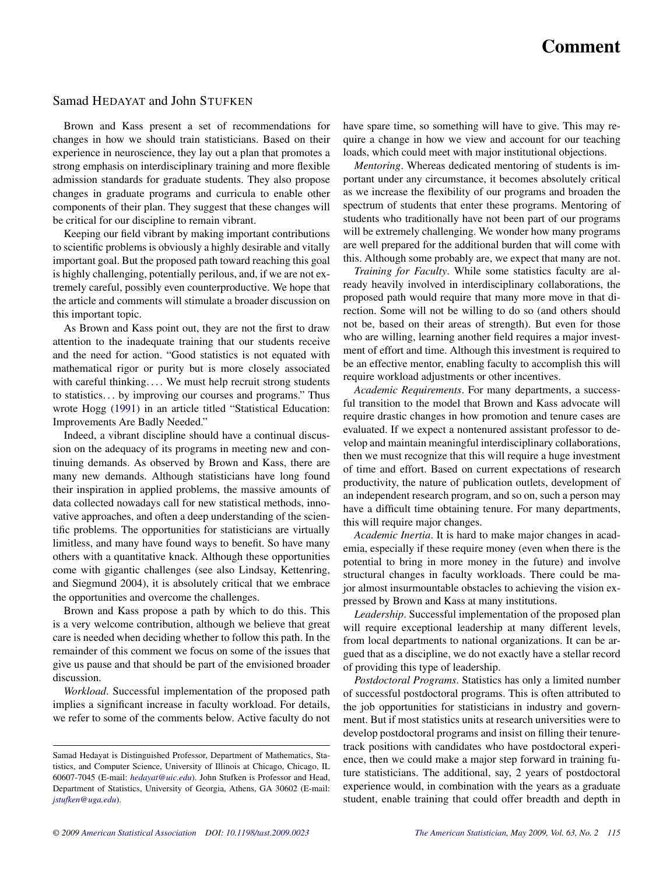## Samad HEDAYAT and John STUFKEN

Brown and Kass present a set of recommendations for changes in how we should train statisticians. Based on their experience in neuroscience, they lay out a plan that promotes a strong emphasis on interdisciplinary training and more flexible admission standards for graduate students. They also propose changes in graduate programs and curricula to enable other components of their plan. They suggest that these changes will be critical for our discipline to remain vibrant.

Keeping our field vibrant by making important contributions to scientific problems is obviously a highly desirable and vitally important goal. But the proposed path toward reaching this goal is highly challenging, potentially perilous, and, if we are not extremely careful, possibly even counterproductive. We hope that the article and comments will stimulate a broader discussion on this important topic.

As Brown and Kass point out, they are not the first to draw attention to the inadequate training that our students receive and the need for action. "Good statistics is not equated with mathematical rigor or purity but is more closely associated with careful thinking*....* We must help recruit strong students to statistics*...* by improving our courses and programs." Thus wrote Hogg [\(1991\)](#page-12-0) in an article titled "Statistical Education: Improvements Are Badly Needed."

Indeed, a vibrant discipline should have a continual discussion on the adequacy of its programs in meeting new and continuing demands. As observed by Brown and Kass, there are many new demands. Although statisticians have long found their inspiration in applied problems, the massive amounts of data collected nowadays call for new statistical methods, innovative approaches, and often a deep understanding of the scientific problems. The opportunities for statisticians are virtually limitless, and many have found ways to benefit. So have many others with a quantitative knack. Although these opportunities come with gigantic challenges (see also Lindsay, Kettenring, and Siegmund 2004), it is absolutely critical that we embrace the opportunities and overcome the challenges.

Brown and Kass propose a path by which to do this. This is a very welcome contribution, although we believe that great care is needed when deciding whether to follow this path. In the remainder of this comment we focus on some of the issues that give us pause and that should be part of the envisioned broader discussion.

*Workload*. Successful implementation of the proposed path implies a significant increase in faculty workload. For details, we refer to some of the comments below. Active faculty do not have spare time, so something will have to give. This may require a change in how we view and account for our teaching loads, which could meet with major institutional objections.

*Mentoring*. Whereas dedicated mentoring of students is important under any circumstance, it becomes absolutely critical as we increase the flexibility of our programs and broaden the spectrum of students that enter these programs. Mentoring of students who traditionally have not been part of our programs will be extremely challenging. We wonder how many programs are well prepared for the additional burden that will come with this. Although some probably are, we expect that many are not.

*Training for Faculty*. While some statistics faculty are already heavily involved in interdisciplinary collaborations, the proposed path would require that many more move in that direction. Some will not be willing to do so (and others should not be, based on their areas of strength). But even for those who are willing, learning another field requires a major investment of effort and time. Although this investment is required to be an effective mentor, enabling faculty to accomplish this will require workload adjustments or other incentives.

*Academic Requirements*. For many departments, a successful transition to the model that Brown and Kass advocate will require drastic changes in how promotion and tenure cases are evaluated. If we expect a nontenured assistant professor to develop and maintain meaningful interdisciplinary collaborations, then we must recognize that this will require a huge investment of time and effort. Based on current expectations of research productivity, the nature of publication outlets, development of an independent research program, and so on, such a person may have a difficult time obtaining tenure. For many departments, this will require major changes.

*Academic Inertia*. It is hard to make major changes in academia, especially if these require money (even when there is the potential to bring in more money in the future) and involve structural changes in faculty workloads. There could be major almost insurmountable obstacles to achieving the vision expressed by Brown and Kass at many institutions.

*Leadership*. Successful implementation of the proposed plan will require exceptional leadership at many different levels, from local departments to national organizations. It can be argued that as a discipline, we do not exactly have a stellar record of providing this type of leadership.

*Postdoctoral Programs*. Statistics has only a limited number of successful postdoctoral programs. This is often attributed to the job opportunities for statisticians in industry and government. But if most statistics units at research universities were to develop postdoctoral programs and insist on filling their tenuretrack positions with candidates who have postdoctoral experience, then we could make a major step forward in training future statisticians. The additional, say, 2 years of postdoctoral experience would, in combination with the years as a graduate student, enable training that could offer breadth and depth in

Samad Hedayat is Distinguished Professor, Department of Mathematics, Statistics, and Computer Science, University of Illinois at Chicago, Chicago, IL 60607-7045 (E-mail: *[hedayat@uic.edu](mailto:hedayat@uic.edu)*). John Stufken is Professor and Head, Department of Statistics, University of Georgia, Athens, GA 30602 (E-mail: *[jstufken@uga.edu](mailto:jstufken@uga.edu)*).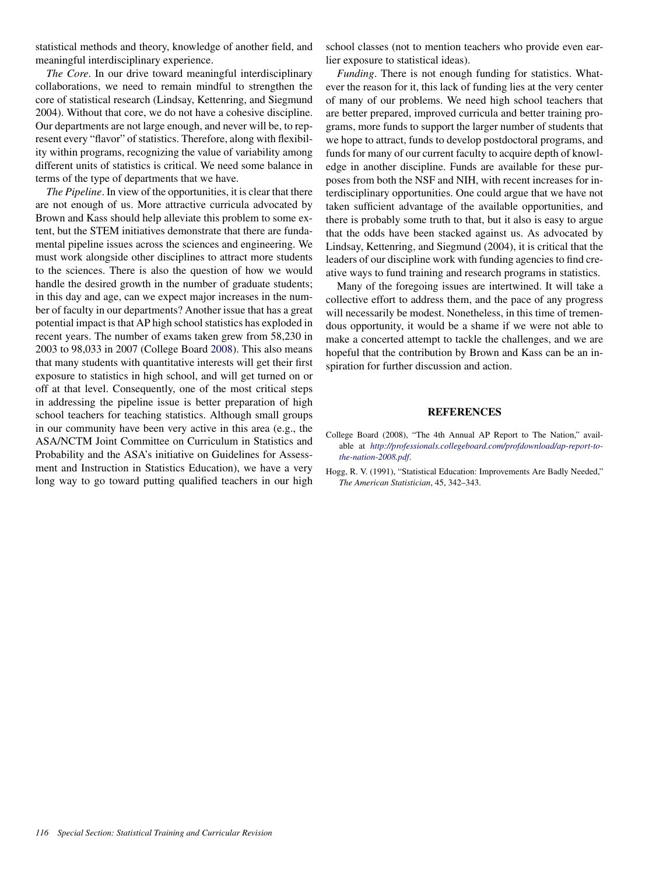<span id="page-12-0"></span>statistical methods and theory, knowledge of another field, and meaningful interdisciplinary experience.

*The Core*. In our drive toward meaningful interdisciplinary collaborations, we need to remain mindful to strengthen the core of statistical research (Lindsay, Kettenring, and Siegmund 2004). Without that core, we do not have a cohesive discipline. Our departments are not large enough, and never will be, to represent every "flavor" of statistics. Therefore, along with flexibility within programs, recognizing the value of variability among different units of statistics is critical. We need some balance in terms of the type of departments that we have.

*The Pipeline*. In view of the opportunities, it is clear that there are not enough of us. More attractive curricula advocated by Brown and Kass should help alleviate this problem to some extent, but the STEM initiatives demonstrate that there are fundamental pipeline issues across the sciences and engineering. We must work alongside other disciplines to attract more students to the sciences. There is also the question of how we would handle the desired growth in the number of graduate students; in this day and age, can we expect major increases in the number of faculty in our departments? Another issue that has a great potential impact is that AP high school statistics has exploded in recent years. The number of exams taken grew from 58,230 in 2003 to 98,033 in 2007 (College Board 2008). This also means that many students with quantitative interests will get their first exposure to statistics in high school, and will get turned on or off at that level. Consequently, one of the most critical steps in addressing the pipeline issue is better preparation of high school teachers for teaching statistics. Although small groups in our community have been very active in this area (e.g., the ASA/NCTM Joint Committee on Curriculum in Statistics and Probability and the ASA's initiative on Guidelines for Assessment and Instruction in Statistics Education), we have a very long way to go toward putting qualified teachers in our high

school classes (not to mention teachers who provide even earlier exposure to statistical ideas).

*Funding*. There is not enough funding for statistics. Whatever the reason for it, this lack of funding lies at the very center of many of our problems. We need high school teachers that are better prepared, improved curricula and better training programs, more funds to support the larger number of students that we hope to attract, funds to develop postdoctoral programs, and funds for many of our current faculty to acquire depth of knowledge in another discipline. Funds are available for these purposes from both the NSF and NIH, with recent increases for interdisciplinary opportunities. One could argue that we have not taken sufficient advantage of the available opportunities, and there is probably some truth to that, but it also is easy to argue that the odds have been stacked against us. As advocated by Lindsay, Kettenring, and Siegmund (2004), it is critical that the leaders of our discipline work with funding agencies to find creative ways to fund training and research programs in statistics.

Many of the foregoing issues are intertwined. It will take a collective effort to address them, and the pace of any progress will necessarily be modest. Nonetheless, in this time of tremendous opportunity, it would be a shame if we were not able to make a concerted attempt to tackle the challenges, and we are hopeful that the contribution by Brown and Kass can be an inspiration for further discussion and action.

- College Board (2008), "The 4th Annual AP Report to The Nation," available at *[http://professionals.collegeboard.com/profdownload/ap-report-to](http://professionals.collegeboard.com/profdownload/ap-report-to-the-nation-2008.pdf)[the-nation-2008.pdf](http://professionals.collegeboard.com/profdownload/ap-report-to-the-nation-2008.pdf)*.
- Hogg, R. V. (1991), "Statistical Education: Improvements Are Badly Needed," *The American Statistician*, 45, 342–343.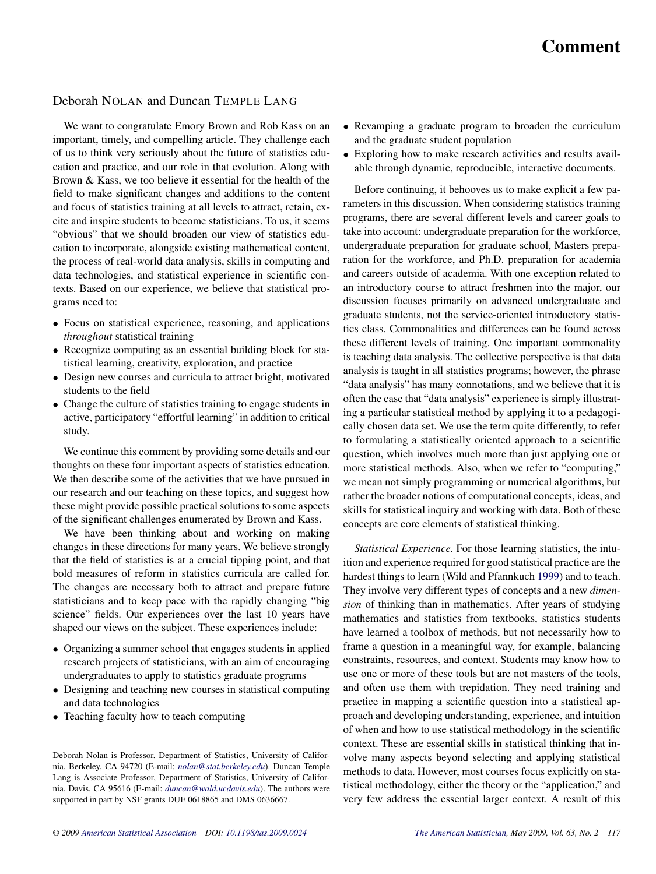## Deborah NOLAN and Duncan TEMPLE LANG

We want to congratulate Emory Brown and Rob Kass on an important, timely, and compelling article. They challenge each of us to think very seriously about the future of statistics education and practice, and our role in that evolution. Along with Brown & Kass, we too believe it essential for the health of the field to make significant changes and additions to the content and focus of statistics training at all levels to attract, retain, excite and inspire students to become statisticians. To us, it seems "obvious" that we should broaden our view of statistics education to incorporate, alongside existing mathematical content, the process of real-world data analysis, skills in computing and data technologies, and statistical experience in scientific contexts. Based on our experience, we believe that statistical programs need to:

- Focus on statistical experience, reasoning, and applications *throughout* statistical training
- Recognize computing as an essential building block for statistical learning, creativity, exploration, and practice
- Design new courses and curricula to attract bright, motivated students to the field
- Change the culture of statistics training to engage students in active, participatory "effortful learning" in addition to critical study.

We continue this comment by providing some details and our thoughts on these four important aspects of statistics education. We then describe some of the activities that we have pursued in our research and our teaching on these topics, and suggest how these might provide possible practical solutions to some aspects of the significant challenges enumerated by Brown and Kass.

We have been thinking about and working on making changes in these directions for many years. We believe strongly that the field of statistics is at a crucial tipping point, and that bold measures of reform in statistics curricula are called for. The changes are necessary both to attract and prepare future statisticians and to keep pace with the rapidly changing "big science" fields. Our experiences over the last 10 years have shaped our views on the subject. These experiences include:

- Organizing a summer school that engages students in applied research projects of statisticians, with an aim of encouraging undergraduates to apply to statistics graduate programs
- Designing and teaching new courses in statistical computing and data technologies
- Teaching faculty how to teach computing
- Revamping a graduate program to broaden the curriculum and the graduate student population
- Exploring how to make research activities and results available through dynamic, reproducible, interactive documents.

Before continuing, it behooves us to make explicit a few parameters in this discussion. When considering statistics training programs, there are several different levels and career goals to take into account: undergraduate preparation for the workforce, undergraduate preparation for graduate school, Masters preparation for the workforce, and Ph.D. preparation for academia and careers outside of academia. With one exception related to an introductory course to attract freshmen into the major, our discussion focuses primarily on advanced undergraduate and graduate students, not the service-oriented introductory statistics class. Commonalities and differences can be found across these different levels of training. One important commonality is teaching data analysis. The collective perspective is that data analysis is taught in all statistics programs; however, the phrase "data analysis" has many connotations, and we believe that it is often the case that "data analysis" experience is simply illustrating a particular statistical method by applying it to a pedagogically chosen data set. We use the term quite differently, to refer to formulating a statistically oriented approach to a scientific question, which involves much more than just applying one or more statistical methods. Also, when we refer to "computing," we mean not simply programming or numerical algorithms, but rather the broader notions of computational concepts, ideas, and skills for statistical inquiry and working with data. Both of these concepts are core elements of statistical thinking.

*Statistical Experience.* For those learning statistics, the intuition and experience required for good statistical practice are the hardest things to learn (Wild and Pfannkuch [1999\)](#page-17-0) and to teach. They involve very different types of concepts and a new *dimension* of thinking than in mathematics. After years of studying mathematics and statistics from textbooks, statistics students have learned a toolbox of methods, but not necessarily how to frame a question in a meaningful way, for example, balancing constraints, resources, and context. Students may know how to use one or more of these tools but are not masters of the tools, and often use them with trepidation. They need training and practice in mapping a scientific question into a statistical approach and developing understanding, experience, and intuition of when and how to use statistical methodology in the scientific context. These are essential skills in statistical thinking that involve many aspects beyond selecting and applying statistical methods to data. However, most courses focus explicitly on statistical methodology, either the theory or the "application," and very few address the essential larger context. A result of this

Deborah Nolan is Professor, Department of Statistics, University of California, Berkeley, CA 94720 (E-mail: *[nolan@stat.berkeley.edu](mailto:nolan@stat.berkeley.edu)*). Duncan Temple Lang is Associate Professor, Department of Statistics, University of California, Davis, CA 95616 (E-mail: *[duncan@wald.ucdavis.edu](mailto:duncan@wald.ucdavis.edu)*). The authors were supported in part by NSF grants DUE 0618865 and DMS 0636667.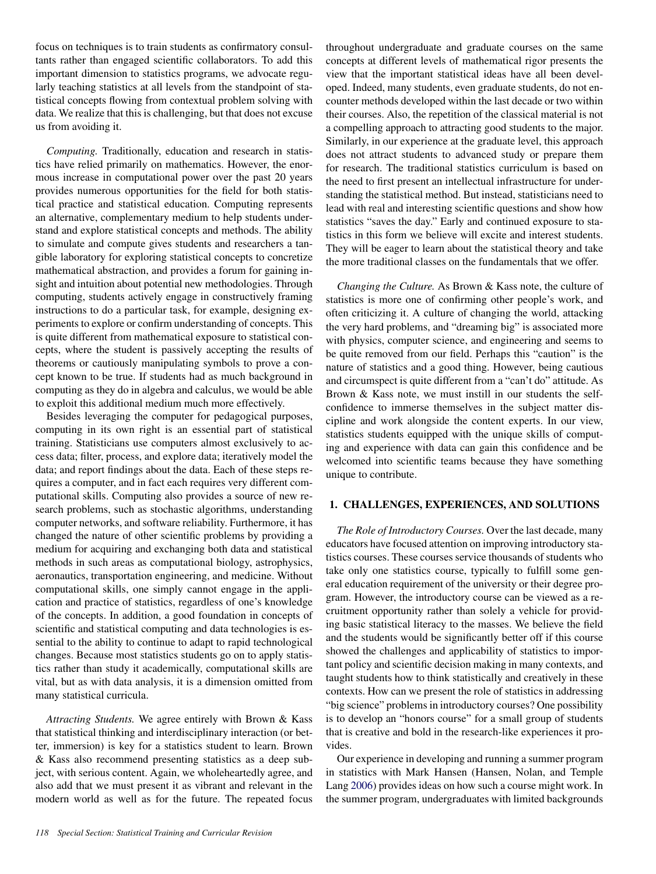focus on techniques is to train students as confirmatory consultants rather than engaged scientific collaborators. To add this important dimension to statistics programs, we advocate regularly teaching statistics at all levels from the standpoint of statistical concepts flowing from contextual problem solving with data. We realize that this is challenging, but that does not excuse us from avoiding it.

*Computing.* Traditionally, education and research in statistics have relied primarily on mathematics. However, the enormous increase in computational power over the past 20 years provides numerous opportunities for the field for both statistical practice and statistical education. Computing represents an alternative, complementary medium to help students understand and explore statistical concepts and methods. The ability to simulate and compute gives students and researchers a tangible laboratory for exploring statistical concepts to concretize mathematical abstraction, and provides a forum for gaining insight and intuition about potential new methodologies. Through computing, students actively engage in constructively framing instructions to do a particular task, for example, designing experiments to explore or confirm understanding of concepts. This is quite different from mathematical exposure to statistical concepts, where the student is passively accepting the results of theorems or cautiously manipulating symbols to prove a concept known to be true. If students had as much background in computing as they do in algebra and calculus, we would be able to exploit this additional medium much more effectively.

Besides leveraging the computer for pedagogical purposes, computing in its own right is an essential part of statistical training. Statisticians use computers almost exclusively to access data; filter, process, and explore data; iteratively model the data; and report findings about the data. Each of these steps requires a computer, and in fact each requires very different computational skills. Computing also provides a source of new research problems, such as stochastic algorithms, understanding computer networks, and software reliability. Furthermore, it has changed the nature of other scientific problems by providing a medium for acquiring and exchanging both data and statistical methods in such areas as computational biology, astrophysics, aeronautics, transportation engineering, and medicine. Without computational skills, one simply cannot engage in the application and practice of statistics, regardless of one's knowledge of the concepts. In addition, a good foundation in concepts of scientific and statistical computing and data technologies is essential to the ability to continue to adapt to rapid technological changes. Because most statistics students go on to apply statistics rather than study it academically, computational skills are vital, but as with data analysis, it is a dimension omitted from many statistical curricula.

*Attracting Students.* We agree entirely with Brown & Kass that statistical thinking and interdisciplinary interaction (or better, immersion) is key for a statistics student to learn. Brown & Kass also recommend presenting statistics as a deep subject, with serious content. Again, we wholeheartedly agree, and also add that we must present it as vibrant and relevant in the modern world as well as for the future. The repeated focus

throughout undergraduate and graduate courses on the same concepts at different levels of mathematical rigor presents the view that the important statistical ideas have all been developed. Indeed, many students, even graduate students, do not encounter methods developed within the last decade or two within their courses. Also, the repetition of the classical material is not a compelling approach to attracting good students to the major. Similarly, in our experience at the graduate level, this approach does not attract students to advanced study or prepare them for research. The traditional statistics curriculum is based on the need to first present an intellectual infrastructure for understanding the statistical method. But instead, statisticians need to lead with real and interesting scientific questions and show how statistics "saves the day." Early and continued exposure to statistics in this form we believe will excite and interest students. They will be eager to learn about the statistical theory and take the more traditional classes on the fundamentals that we offer.

*Changing the Culture.* As Brown & Kass note, the culture of statistics is more one of confirming other people's work, and often criticizing it. A culture of changing the world, attacking the very hard problems, and "dreaming big" is associated more with physics, computer science, and engineering and seems to be quite removed from our field. Perhaps this "caution" is the nature of statistics and a good thing. However, being cautious and circumspect is quite different from a "can't do" attitude. As Brown & Kass note, we must instill in our students the selfconfidence to immerse themselves in the subject matter discipline and work alongside the content experts. In our view, statistics students equipped with the unique skills of computing and experience with data can gain this confidence and be welcomed into scientific teams because they have something unique to contribute.

#### **1. CHALLENGES, EXPERIENCES, AND SOLUTIONS**

*The Role of Introductory Courses.* Over the last decade, many educators have focused attention on improving introductory statistics courses. These courses service thousands of students who take only one statistics course, typically to fulfill some general education requirement of the university or their degree program. However, the introductory course can be viewed as a recruitment opportunity rather than solely a vehicle for providing basic statistical literacy to the masses. We believe the field and the students would be significantly better off if this course showed the challenges and applicability of statistics to important policy and scientific decision making in many contexts, and taught students how to think statistically and creatively in these contexts. How can we present the role of statistics in addressing "big science" problems in introductory courses? One possibility is to develop an "honors course" for a small group of students that is creative and bold in the research-like experiences it provides.

Our experience in developing and running a summer program in statistics with Mark Hansen (Hansen, Nolan, and Temple Lang [2006\)](#page-17-0) provides ideas on how such a course might work. In the summer program, undergraduates with limited backgrounds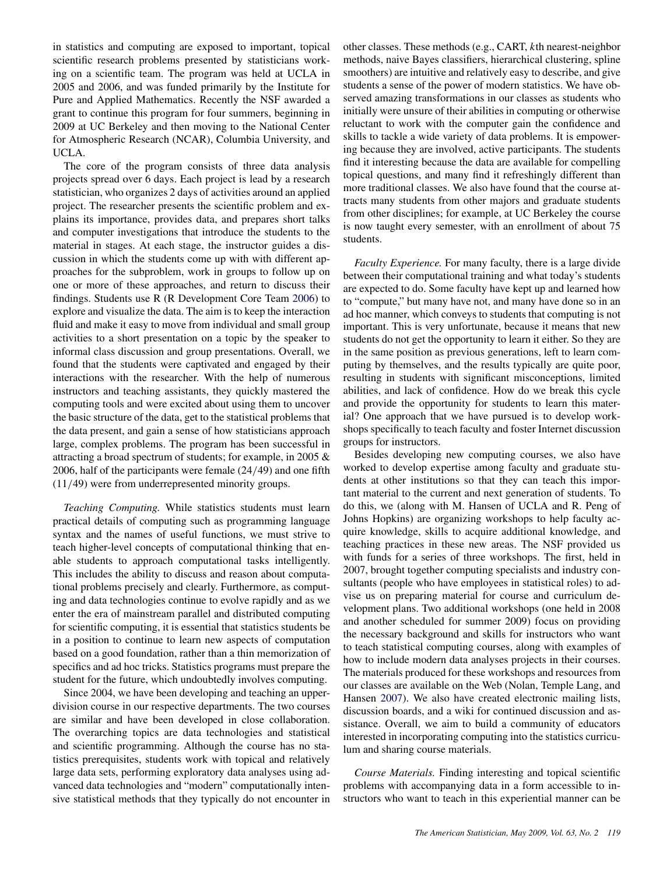in statistics and computing are exposed to important, topical scientific research problems presented by statisticians working on a scientific team. The program was held at UCLA in 2005 and 2006, and was funded primarily by the Institute for Pure and Applied Mathematics. Recently the NSF awarded a grant to continue this program for four summers, beginning in 2009 at UC Berkeley and then moving to the National Center for Atmospheric Research (NCAR), Columbia University, and UCLA.

The core of the program consists of three data analysis projects spread over 6 days. Each project is lead by a research statistician, who organizes 2 days of activities around an applied project. The researcher presents the scientific problem and explains its importance, provides data, and prepares short talks and computer investigations that introduce the students to the material in stages. At each stage, the instructor guides a discussion in which the students come up with with different approaches for the subproblem, work in groups to follow up on one or more of these approaches, and return to discuss their findings. Students use R (R Development Core Team [2006\)](#page-17-0) to explore and visualize the data. The aim is to keep the interaction fluid and make it easy to move from individual and small group activities to a short presentation on a topic by the speaker to informal class discussion and group presentations. Overall, we found that the students were captivated and engaged by their interactions with the researcher. With the help of numerous instructors and teaching assistants, they quickly mastered the computing tools and were excited about using them to uncover the basic structure of the data, get to the statistical problems that the data present, and gain a sense of how statisticians approach large, complex problems. The program has been successful in attracting a broad spectrum of students; for example, in 2005 & 2006, half of the participants were female (24*/*49) and one fifth (11*/*49) were from underrepresented minority groups.

*Teaching Computing.* While statistics students must learn practical details of computing such as programming language syntax and the names of useful functions, we must strive to teach higher-level concepts of computational thinking that enable students to approach computational tasks intelligently. This includes the ability to discuss and reason about computational problems precisely and clearly. Furthermore, as computing and data technologies continue to evolve rapidly and as we enter the era of mainstream parallel and distributed computing for scientific computing, it is essential that statistics students be in a position to continue to learn new aspects of computation based on a good foundation, rather than a thin memorization of specifics and ad hoc tricks. Statistics programs must prepare the student for the future, which undoubtedly involves computing.

Since 2004, we have been developing and teaching an upperdivision course in our respective departments. The two courses are similar and have been developed in close collaboration. The overarching topics are data technologies and statistical and scientific programming. Although the course has no statistics prerequisites, students work with topical and relatively large data sets, performing exploratory data analyses using advanced data technologies and "modern" computationally intensive statistical methods that they typically do not encounter in other classes. These methods (e.g., CART, *k*th nearest-neighbor methods, naive Bayes classifiers, hierarchical clustering, spline smoothers) are intuitive and relatively easy to describe, and give students a sense of the power of modern statistics. We have observed amazing transformations in our classes as students who initially were unsure of their abilities in computing or otherwise reluctant to work with the computer gain the confidence and skills to tackle a wide variety of data problems. It is empowering because they are involved, active participants. The students find it interesting because the data are available for compelling topical questions, and many find it refreshingly different than more traditional classes. We also have found that the course attracts many students from other majors and graduate students from other disciplines; for example, at UC Berkeley the course is now taught every semester, with an enrollment of about 75 students.

*Faculty Experience.* For many faculty, there is a large divide between their computational training and what today's students are expected to do. Some faculty have kept up and learned how to "compute," but many have not, and many have done so in an ad hoc manner, which conveys to students that computing is not important. This is very unfortunate, because it means that new students do not get the opportunity to learn it either. So they are in the same position as previous generations, left to learn computing by themselves, and the results typically are quite poor, resulting in students with significant misconceptions, limited abilities, and lack of confidence. How do we break this cycle and provide the opportunity for students to learn this material? One approach that we have pursued is to develop workshops specifically to teach faculty and foster Internet discussion groups for instructors.

Besides developing new computing courses, we also have worked to develop expertise among faculty and graduate students at other institutions so that they can teach this important material to the current and next generation of students. To do this, we (along with M. Hansen of UCLA and R. Peng of Johns Hopkins) are organizing workshops to help faculty acquire knowledge, skills to acquire additional knowledge, and teaching practices in these new areas. The NSF provided us with funds for a series of three workshops. The first, held in 2007, brought together computing specialists and industry consultants (people who have employees in statistical roles) to advise us on preparing material for course and curriculum development plans. Two additional workshops (one held in 2008 and another scheduled for summer 2009) focus on providing the necessary background and skills for instructors who want to teach statistical computing courses, along with examples of how to include modern data analyses projects in their courses. The materials produced for these workshops and resources from our classes are available on the Web (Nolan, Temple Lang, and Hansen [2007\)](#page-17-0). We also have created electronic mailing lists, discussion boards, and a wiki for continued discussion and assistance. Overall, we aim to build a community of educators interested in incorporating computing into the statistics curriculum and sharing course materials.

*Course Materials.* Finding interesting and topical scientific problems with accompanying data in a form accessible to instructors who want to teach in this experiential manner can be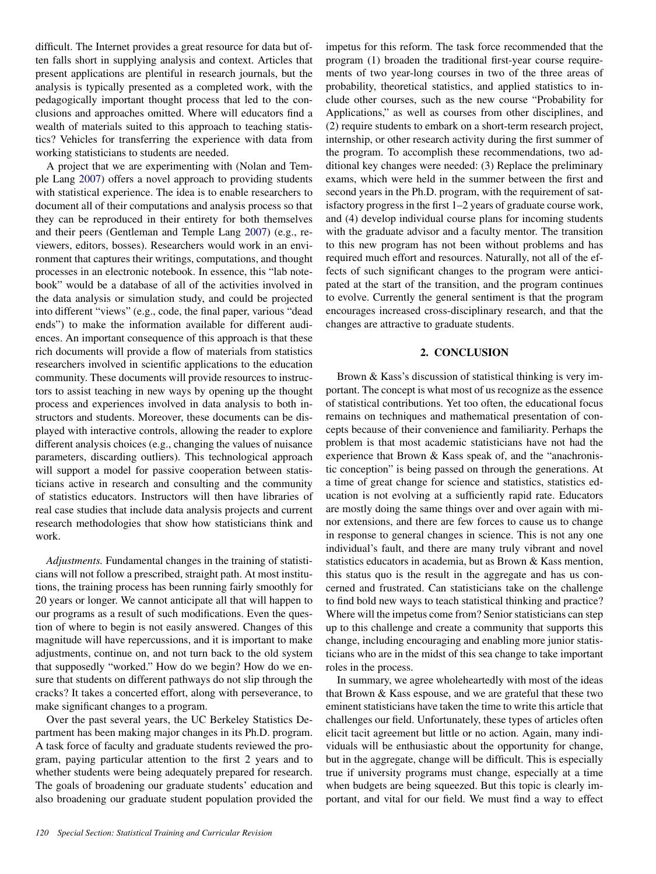difficult. The Internet provides a great resource for data but often falls short in supplying analysis and context. Articles that present applications are plentiful in research journals, but the analysis is typically presented as a completed work, with the pedagogically important thought process that led to the conclusions and approaches omitted. Where will educators find a wealth of materials suited to this approach to teaching statistics? Vehicles for transferring the experience with data from working statisticians to students are needed.

A project that we are experimenting with (Nolan and Temple Lang [2007\)](#page-17-0) offers a novel approach to providing students with statistical experience. The idea is to enable researchers to document all of their computations and analysis process so that they can be reproduced in their entirety for both themselves and their peers (Gentleman and Temple Lang [2007\)](#page-17-0) (e.g., reviewers, editors, bosses). Researchers would work in an environment that captures their writings, computations, and thought processes in an electronic notebook. In essence, this "lab notebook" would be a database of all of the activities involved in the data analysis or simulation study, and could be projected into different "views" (e.g., code, the final paper, various "dead ends") to make the information available for different audiences. An important consequence of this approach is that these rich documents will provide a flow of materials from statistics researchers involved in scientific applications to the education community. These documents will provide resources to instructors to assist teaching in new ways by opening up the thought process and experiences involved in data analysis to both instructors and students. Moreover, these documents can be displayed with interactive controls, allowing the reader to explore different analysis choices (e.g., changing the values of nuisance parameters, discarding outliers). This technological approach will support a model for passive cooperation between statisticians active in research and consulting and the community of statistics educators. Instructors will then have libraries of real case studies that include data analysis projects and current research methodologies that show how statisticians think and work.

*Adjustments.* Fundamental changes in the training of statisticians will not follow a prescribed, straight path. At most institutions, the training process has been running fairly smoothly for 20 years or longer. We cannot anticipate all that will happen to our programs as a result of such modifications. Even the question of where to begin is not easily answered. Changes of this magnitude will have repercussions, and it is important to make adjustments, continue on, and not turn back to the old system that supposedly "worked." How do we begin? How do we ensure that students on different pathways do not slip through the cracks? It takes a concerted effort, along with perseverance, to make significant changes to a program.

Over the past several years, the UC Berkeley Statistics Department has been making major changes in its Ph.D. program. A task force of faculty and graduate students reviewed the program, paying particular attention to the first 2 years and to whether students were being adequately prepared for research. The goals of broadening our graduate students' education and also broadening our graduate student population provided the impetus for this reform. The task force recommended that the program (1) broaden the traditional first-year course requirements of two year-long courses in two of the three areas of probability, theoretical statistics, and applied statistics to include other courses, such as the new course "Probability for Applications," as well as courses from other disciplines, and (2) require students to embark on a short-term research project, internship, or other research activity during the first summer of the program. To accomplish these recommendations, two additional key changes were needed: (3) Replace the preliminary exams, which were held in the summer between the first and second years in the Ph.D. program, with the requirement of satisfactory progress in the first 1–2 years of graduate course work, and (4) develop individual course plans for incoming students with the graduate advisor and a faculty mentor. The transition to this new program has not been without problems and has required much effort and resources. Naturally, not all of the effects of such significant changes to the program were anticipated at the start of the transition, and the program continues to evolve. Currently the general sentiment is that the program encourages increased cross-disciplinary research, and that the changes are attractive to graduate students.

## **2. CONCLUSION**

Brown & Kass's discussion of statistical thinking is very important. The concept is what most of us recognize as the essence of statistical contributions. Yet too often, the educational focus remains on techniques and mathematical presentation of concepts because of their convenience and familiarity. Perhaps the problem is that most academic statisticians have not had the experience that Brown & Kass speak of, and the "anachronistic conception" is being passed on through the generations. At a time of great change for science and statistics, statistics education is not evolving at a sufficiently rapid rate. Educators are mostly doing the same things over and over again with minor extensions, and there are few forces to cause us to change in response to general changes in science. This is not any one individual's fault, and there are many truly vibrant and novel statistics educators in academia, but as Brown & Kass mention, this status quo is the result in the aggregate and has us concerned and frustrated. Can statisticians take on the challenge to find bold new ways to teach statistical thinking and practice? Where will the impetus come from? Senior statisticians can step up to this challenge and create a community that supports this change, including encouraging and enabling more junior statisticians who are in the midst of this sea change to take important roles in the process.

In summary, we agree wholeheartedly with most of the ideas that Brown & Kass espouse, and we are grateful that these two eminent statisticians have taken the time to write this article that challenges our field. Unfortunately, these types of articles often elicit tacit agreement but little or no action. Again, many individuals will be enthusiastic about the opportunity for change, but in the aggregate, change will be difficult. This is especially true if university programs must change, especially at a time when budgets are being squeezed. But this topic is clearly important, and vital for our field. We must find a way to effect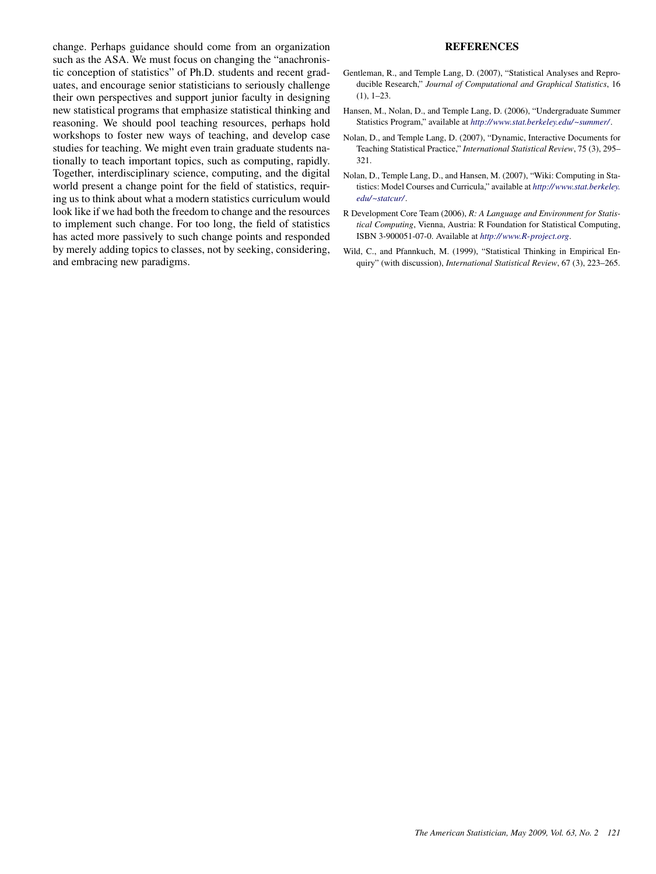#### **REFERENCES**

<span id="page-17-0"></span>change. Perhaps guidance should come from an organization such as the ASA. We must focus on changing the "anachronistic conception of statistics" of Ph.D. students and recent graduates, and encourage senior statisticians to seriously challenge their own perspectives and support junior faculty in designing new statistical programs that emphasize statistical thinking and reasoning. We should pool teaching resources, perhaps hold workshops to foster new ways of teaching, and develop case studies for teaching. We might even train graduate students nationally to teach important topics, such as computing, rapidly. Together, interdisciplinary science, computing, and the digital world present a change point for the field of statistics, requiring us to think about what a modern statistics curriculum would look like if we had both the freedom to change and the resources to implement such change. For too long, the field of statistics has acted more passively to such change points and responded by merely adding topics to classes, not by seeking, considering, and embracing new paradigms.

- Gentleman, R., and Temple Lang, D. (2007), "Statistical Analyses and Reproducible Research," *Journal of Computational and Graphical Statistics*, 16 (1), 1–23.
- Hansen, M., Nolan, D., and Temple Lang, D. (2006), "Undergraduate Summer Statistics Program," available at *<http://www.stat.berkeley.edu/~summer/>*.
- Nolan, D., and Temple Lang, D. (2007), "Dynamic, Interactive Documents for Teaching Statistical Practice," *International Statistical Review*, 75 (3), 295– 321.
- Nolan, D., Temple Lang, D., and Hansen, M. (2007), "Wiki: Computing in Statistics: Model Courses and Curricula," available at *[http://www.stat.berkeley.](http://www.stat.berkeley.edu/~statcur/) [edu/~statcur/](http://www.stat.berkeley.edu/~statcur/)*.
- R Development Core Team (2006), *R: A Language and Environment for Statistical Computing*, Vienna, Austria: R Foundation for Statistical Computing, ISBN 3-900051-07-0. Available at *<http://www.R-project.org>*.
- Wild, C., and Pfannkuch, M. (1999), "Statistical Thinking in Empirical Enquiry" (with discussion), *International Statistical Review*, 67 (3), 223–265.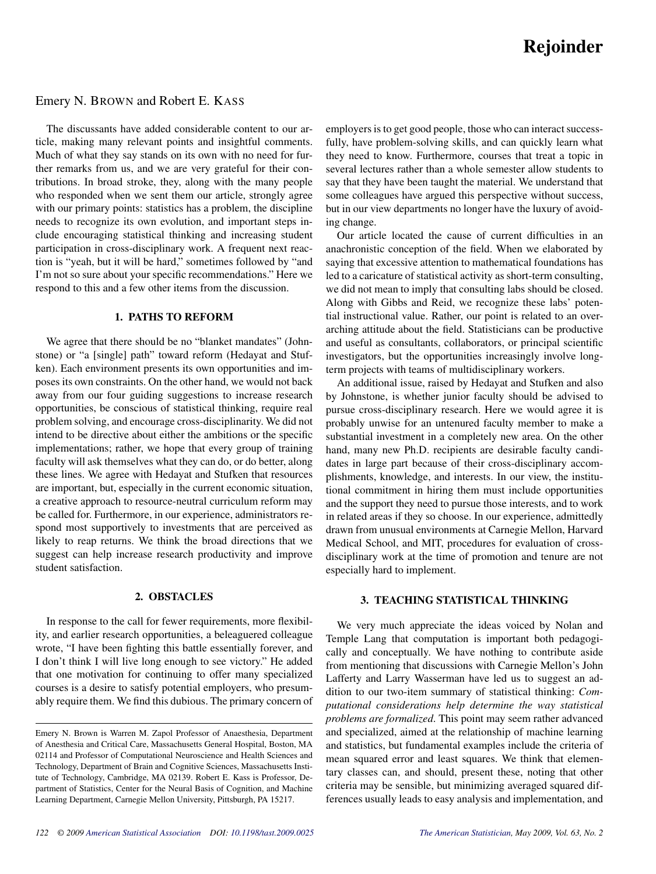## **Rejoinder**

## Emery N. BROWN and Robert E. KASS

The discussants have added considerable content to our article, making many relevant points and insightful comments. Much of what they say stands on its own with no need for further remarks from us, and we are very grateful for their contributions. In broad stroke, they, along with the many people who responded when we sent them our article, strongly agree with our primary points: statistics has a problem, the discipline needs to recognize its own evolution, and important steps include encouraging statistical thinking and increasing student participation in cross-disciplinary work. A frequent next reaction is "yeah, but it will be hard," sometimes followed by "and I'm not so sure about your specific recommendations." Here we respond to this and a few other items from the discussion.

#### **1. PATHS TO REFORM**

We agree that there should be no "blanket mandates" (Johnstone) or "a [single] path" toward reform (Hedayat and Stufken). Each environment presents its own opportunities and imposes its own constraints. On the other hand, we would not back away from our four guiding suggestions to increase research opportunities, be conscious of statistical thinking, require real problem solving, and encourage cross-disciplinarity. We did not intend to be directive about either the ambitions or the specific implementations; rather, we hope that every group of training faculty will ask themselves what they can do, or do better, along these lines. We agree with Hedayat and Stufken that resources are important, but, especially in the current economic situation, a creative approach to resource-neutral curriculum reform may be called for. Furthermore, in our experience, administrators respond most supportively to investments that are perceived as likely to reap returns. We think the broad directions that we suggest can help increase research productivity and improve student satisfaction.

#### **2. OBSTACLES**

In response to the call for fewer requirements, more flexibility, and earlier research opportunities, a beleaguered colleague wrote, "I have been fighting this battle essentially forever, and I don't think I will live long enough to see victory." He added that one motivation for continuing to offer many specialized courses is a desire to satisfy potential employers, who presumably require them. We find this dubious. The primary concern of employers is to get good people, those who can interact successfully, have problem-solving skills, and can quickly learn what they need to know. Furthermore, courses that treat a topic in several lectures rather than a whole semester allow students to say that they have been taught the material. We understand that some colleagues have argued this perspective without success, but in our view departments no longer have the luxury of avoiding change.

Our article located the cause of current difficulties in an anachronistic conception of the field. When we elaborated by saying that excessive attention to mathematical foundations has led to a caricature of statistical activity as short-term consulting, we did not mean to imply that consulting labs should be closed. Along with Gibbs and Reid, we recognize these labs' potential instructional value. Rather, our point is related to an overarching attitude about the field. Statisticians can be productive and useful as consultants, collaborators, or principal scientific investigators, but the opportunities increasingly involve longterm projects with teams of multidisciplinary workers.

An additional issue, raised by Hedayat and Stufken and also by Johnstone, is whether junior faculty should be advised to pursue cross-disciplinary research. Here we would agree it is probably unwise for an untenured faculty member to make a substantial investment in a completely new area. On the other hand, many new Ph.D. recipients are desirable faculty candidates in large part because of their cross-disciplinary accomplishments, knowledge, and interests. In our view, the institutional commitment in hiring them must include opportunities and the support they need to pursue those interests, and to work in related areas if they so choose. In our experience, admittedly drawn from unusual environments at Carnegie Mellon, Harvard Medical School, and MIT, procedures for evaluation of crossdisciplinary work at the time of promotion and tenure are not especially hard to implement.

### **3. TEACHING STATISTICAL THINKING**

We very much appreciate the ideas voiced by Nolan and Temple Lang that computation is important both pedagogically and conceptually. We have nothing to contribute aside from mentioning that discussions with Carnegie Mellon's John Lafferty and Larry Wasserman have led us to suggest an addition to our two-item summary of statistical thinking: *Computational considerations help determine the way statistical problems are formalized*. This point may seem rather advanced and specialized, aimed at the relationship of machine learning and statistics, but fundamental examples include the criteria of mean squared error and least squares. We think that elementary classes can, and should, present these, noting that other criteria may be sensible, but minimizing averaged squared differences usually leads to easy analysis and implementation, and

Emery N. Brown is Warren M. Zapol Professor of Anaesthesia, Department of Anesthesia and Critical Care, Massachusetts General Hospital, Boston, MA 02114 and Professor of Computational Neuroscience and Health Sciences and Technology, Department of Brain and Cognitive Sciences, Massachusetts Institute of Technology, Cambridge, MA 02139. Robert E. Kass is Professor, Department of Statistics, Center for the Neural Basis of Cognition, and Machine Learning Department, Carnegie Mellon University, Pittsburgh, PA 15217.